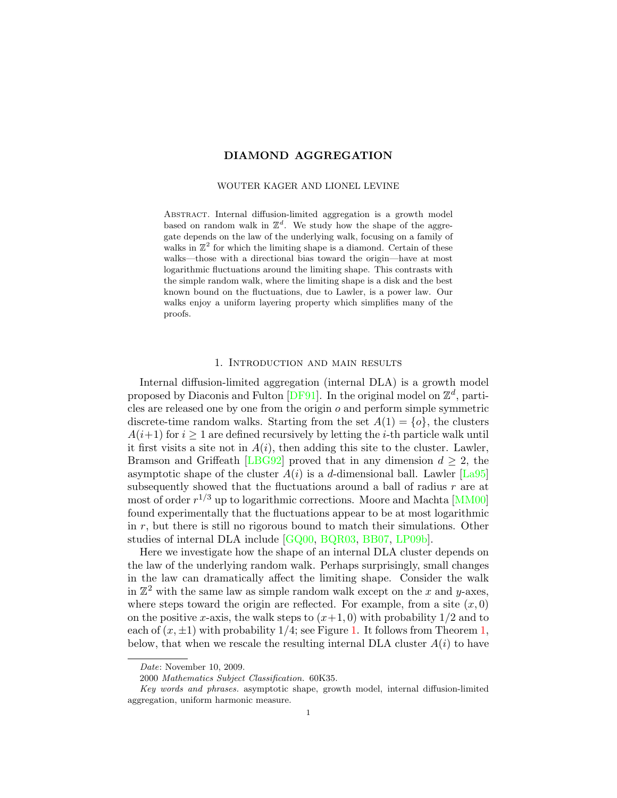# DIAMOND AGGREGATION

#### WOUTER KAGER AND LIONEL LEVINE

Abstract. Internal diffusion-limited aggregation is a growth model based on random walk in  $\mathbb{Z}^d$ . We study how the shape of the aggregate depends on the law of the underlying walk, focusing on a family of walks in  $\mathbb{Z}^2$  for which the limiting shape is a diamond. Certain of these walks—those with a directional bias toward the origin—have at most logarithmic fluctuations around the limiting shape. This contrasts with the simple random walk, where the limiting shape is a disk and the best known bound on the fluctuations, due to Lawler, is a power law. Our walks enjoy a uniform layering property which simplifies many of the proofs.

## 1. Introduction and main results

Internal diffusion-limited aggregation (internal DLA) is a growth model proposed by Diaconis and Fulton  $[DF91]$ . In the original model on  $\mathbb{Z}^d$ , particles are released one by one from the origin o and perform simple symmetric discrete-time random walks. Starting from the set  $A(1) = \{o\}$ , the clusters  $A(i+1)$  for  $i \geq 1$  are defined recursively by letting the *i*-th particle walk until it first visits a site not in  $A(i)$ , then adding this site to the cluster. Lawler, Bramson and Griffeath [\[LBG92\]](#page-24-0) proved that in any dimension  $d \geq 2$ , the asymptotic shape of the cluster  $A(i)$  is a d-dimensional ball. Lawler [\[La95\]](#page-24-1) subsequently showed that the fluctuations around a ball of radius  $r$  are at most of order  $r^{1/3}$  up to logarithmic corrections. Moore and Machta [\[MM00\]](#page-24-2) found experimentally that the fluctuations appear to be at most logarithmic in  $r$ , but there is still no rigorous bound to match their simulations. Other studies of internal DLA include [\[GQ00,](#page-23-1) [BQR03,](#page-23-2) [BB07,](#page-23-3) [LP09b\]](#page-24-3).

Here we investigate how the shape of an internal DLA cluster depends on the law of the underlying random walk. Perhaps surprisingly, small changes in the law can dramatically affect the limiting shape. Consider the walk in  $\mathbb{Z}^2$  with the same law as simple random walk except on the x and y-axes, where steps toward the origin are reflected. For example, from a site  $(x, 0)$ on the positive x-axis, the walk steps to  $(x+1,0)$  with probability  $1/2$  and to each of  $(x, \pm 1)$  with probability 1/4; see Figure [1.](#page-1-0) It follows from Theorem [1,](#page-2-0) below, that when we rescale the resulting internal DLA cluster  $A(i)$  to have

Date: November 10, 2009.

<sup>2000</sup> Mathematics Subject Classification. 60K35.

Key words and phrases. asymptotic shape, growth model, internal diffusion-limited aggregation, uniform harmonic measure.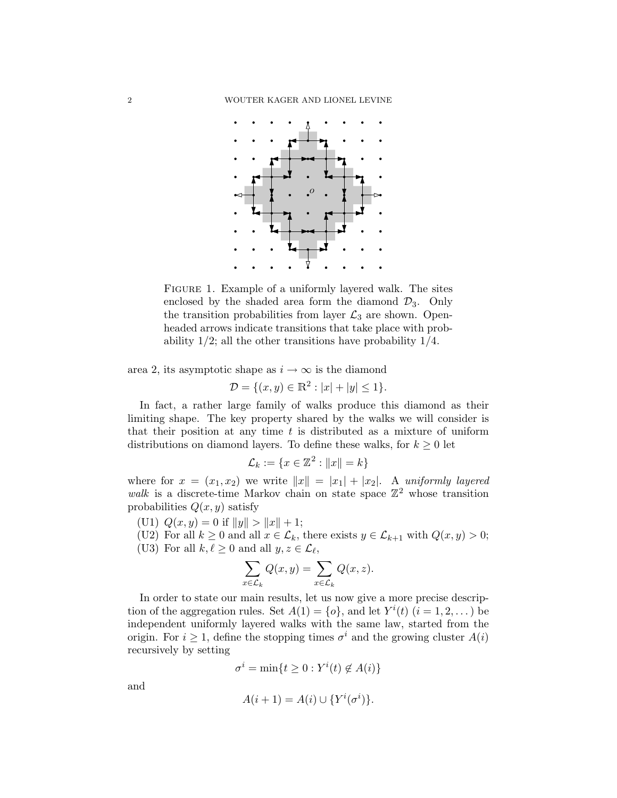

<span id="page-1-0"></span>FIGURE 1. Example of a uniformly layered walk. The sites enclosed by the shaded area form the diamond  $\mathcal{D}_3$ . Only the transition probabilities from layer  $\mathcal{L}_3$  are shown. Openheaded arrows indicate transitions that take place with probability  $1/2$ ; all the other transitions have probability  $1/4$ .

area 2, its asymptotic shape as  $i \to \infty$  is the diamond

$$
\mathcal{D} = \{(x, y) \in \mathbb{R}^2 : |x| + |y| \le 1\}.
$$

In fact, a rather large family of walks produce this diamond as their limiting shape. The key property shared by the walks we will consider is that their position at any time  $t$  is distributed as a mixture of uniform distributions on diamond layers. To define these walks, for  $k \geq 0$  let

$$
\mathcal{L}_k := \{ x \in \mathbb{Z}^2 : ||x|| = k \}
$$

where for  $x = (x_1, x_2)$  we write  $||x|| = |x_1| + |x_2|$ . A uniformly layered walk is a discrete-time Markov chain on state space  $\mathbb{Z}^2$  whose transition probabilities  $Q(x, y)$  satisfy

(U1)  $Q(x, y) = 0$  if  $||y|| > ||x|| + 1;$ 

(U2) For all  $k \geq 0$  and all  $x \in \mathcal{L}_k$ , there exists  $y \in \mathcal{L}_{k+1}$  with  $Q(x, y) > 0$ ; (U3) For all  $k, \ell \geq 0$  and all  $y, z \in \mathcal{L}_{\ell}$ ,

$$
\sum_{x \in \mathcal{L}_k} Q(x, y) = \sum_{x \in \mathcal{L}_k} Q(x, z).
$$

In order to state our main results, let us now give a more precise description of the aggregation rules. Set  $A(1) = \{o\}$ , and let  $Y^{i}(t)$   $(i = 1, 2, ...)$  be independent uniformly layered walks with the same law, started from the origin. For  $i \geq 1$ , define the stopping times  $\sigma^i$  and the growing cluster  $A(i)$ recursively by setting

$$
\sigma^i = \min\{t \ge 0 : Y^i(t) \notin A(i)\}
$$

and

$$
A(i+1) = A(i) \cup \{Y^i(\sigma^i)\}.
$$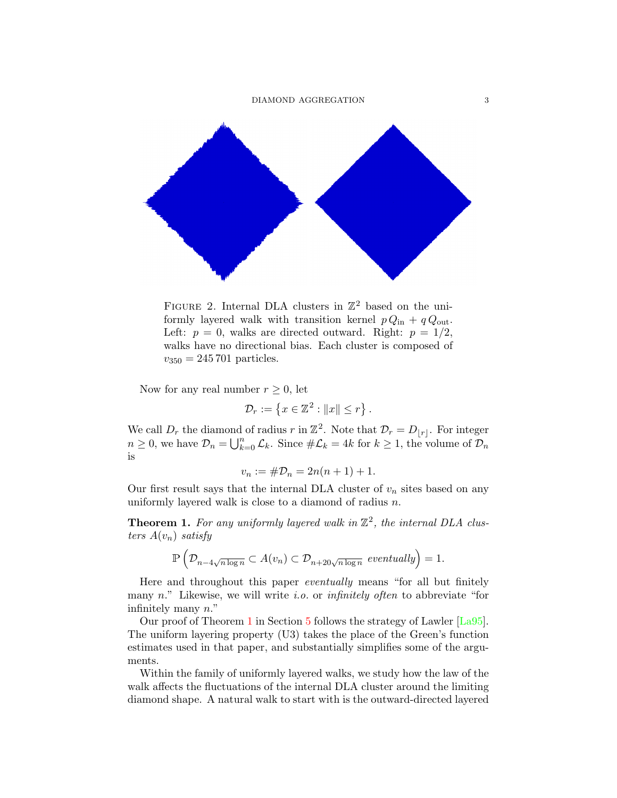

FIGURE 2. Internal DLA clusters in  $\mathbb{Z}^2$  based on the uniformly layered walk with transition kernel  $p Q_{\text{in}} + q Q_{\text{out}}$ . Left:  $p = 0$ , walks are directed outward. Right:  $p = 1/2$ , walks have no directional bias. Each cluster is composed of  $v_{350} = 245\,701$  particles.

Now for any real number  $r \geq 0$ , let

$$
\mathcal{D}_r := \left\{ x \in \mathbb{Z}^2 : ||x|| \le r \right\}.
$$

We call  $D_r$  the diamond of radius r in  $\mathbb{Z}^2$ . Note that  $\mathcal{D}_r = D_{\lfloor r \rfloor}$ . For integer  $n \geq 0$ , we have  $\mathcal{D}_n = \bigcup_{k=0}^n \mathcal{L}_k$ . Since  $\#\mathcal{L}_k = 4k$  for  $k \geq 1$ , the volume of  $\mathcal{D}_n$ is

$$
v_n := \# \mathcal{D}_n = 2n(n+1) + 1.
$$

Our first result says that the internal DLA cluster of  $v_n$  sites based on any uniformly layered walk is close to a diamond of radius n.

<span id="page-2-0"></span>**Theorem 1.** For any uniformly layered walk in  $\mathbb{Z}^2$ , the internal DLA clusters  $A(v_n)$  satisfy

$$
\mathbb{P}\left(\mathcal{D}_{n-4\sqrt{n\log n}}\subset A(v_n)\subset \mathcal{D}_{n+20\sqrt{n\log n}}\text{ eventually}\right)=1.
$$

Here and throughout this paper eventually means "for all but finitely many  $n$ ." Likewise, we will write *i.o.* or *infinitely often* to abbreviate "for infinitely many n."

Our proof of Theorem [1](#page-2-0) in Section [5](#page-12-0) follows the strategy of Lawler [\[La95\]](#page-24-1). The uniform layering property (U3) takes the place of the Green's function estimates used in that paper, and substantially simplifies some of the arguments.

Within the family of uniformly layered walks, we study how the law of the walk affects the fluctuations of the internal DLA cluster around the limiting diamond shape. A natural walk to start with is the outward-directed layered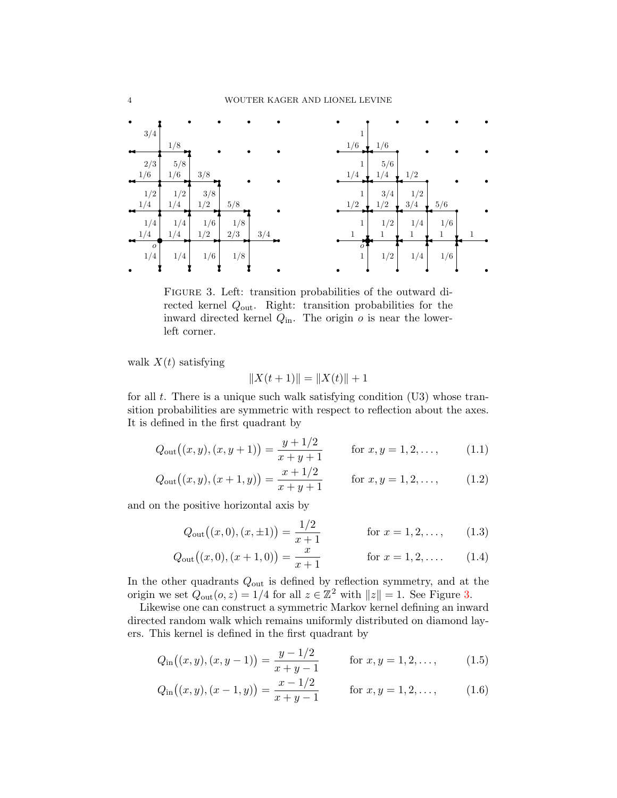

<span id="page-3-0"></span>Figure 3. Left: transition probabilities of the outward directed kernel Qout. Right: transition probabilities for the inward directed kernel  $Q_{\text{in}}$ . The origin  $o$  is near the lowerleft corner.

walk  $X(t)$  satisfying

<span id="page-3-2"></span><span id="page-3-1"></span>
$$
||X(t+1)|| = ||X(t)|| + 1
$$

for all  $t$ . There is a unique such walk satisfying condition  $(U3)$  whose transition probabilities are symmetric with respect to reflection about the axes. It is defined in the first quadrant by

$$
Q_{\text{out}}\big((x,y),(x,y+1)\big) = \frac{y+1/2}{x+y+1} \quad \text{for } x,y=1,2,\ldots,\tag{1.1}
$$

$$
Q_{\text{out}}\big((x,y),(x+1,y)\big) = \frac{x+1/2}{x+y+1} \quad \text{for } x,y=1,2,\ldots,\tag{1.2}
$$

and on the positive horizontal axis by

$$
Q_{\text{out}}\big((x,0),(x,\pm 1)\big) = \frac{1/2}{x+1} \quad \text{for } x = 1,2,\dots,\qquad(1.3)
$$

$$
Q_{\text{out}}((x,0),(x+1,0)) = \frac{x}{x+1} \quad \text{for } x = 1,2,\dots \quad (1.4)
$$

In the other quadrants  $Q_{\text{out}}$  is defined by reflection symmetry, and at the origin we set  $Q_{\text{out}}(o, z) = 1/4$  for all  $z \in \mathbb{Z}^2$  with  $||z|| = 1$ . See Figure [3.](#page-3-0)

Likewise one can construct a symmetric Markov kernel defining an inward directed random walk which remains uniformly distributed on diamond layers. This kernel is defined in the first quadrant by

$$
Q_{\text{in}}((x, y), (x, y - 1)) = \frac{y - 1/2}{x + y - 1} \quad \text{for } x, y = 1, 2, \dots,
$$
 (1.5)

$$
Q_{\rm in}((x,y),(x-1,y)) = \frac{x-1/2}{x+y-1} \quad \text{for } x, y = 1,2,\dots,
$$
 (1.6)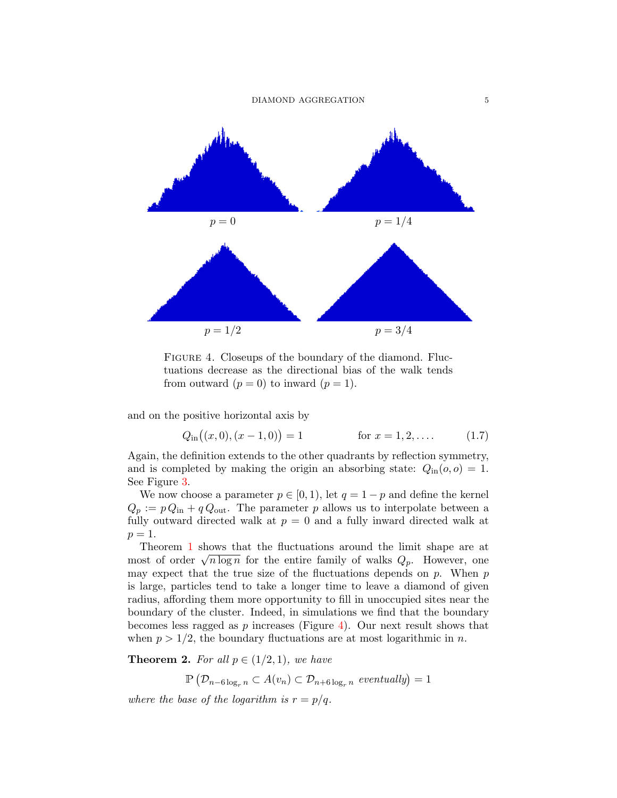

<span id="page-4-0"></span>FIGURE 4. Closeups of the boundary of the diamond. Fluctuations decrease as the directional bias of the walk tends from outward  $(p = 0)$  to inward  $(p = 1)$ .

and on the positive horizontal axis by

$$
Q_{\text{in}}((x,0),(x-1,0)) = 1 \qquad \text{for } x = 1,2,... \qquad (1.7)
$$

Again, the definition extends to the other quadrants by reflection symmetry, and is completed by making the origin an absorbing state:  $Q_{\text{in}}(o, o) = 1$ . See Figure [3.](#page-3-0)

We now choose a parameter  $p \in [0, 1)$ , let  $q = 1 - p$  and define the kernel  $Q_p := p Q_{\text{in}} + q Q_{\text{out}}$ . The parameter p allows us to interpolate between a fully outward directed walk at  $p = 0$  and a fully inward directed walk at  $p=1$ .

Theorem [1](#page-2-0) shows that the fluctuations around the limit shape are at Theorem T shows that the intertuations around the filmt shape are at most of order  $\sqrt{n \log n}$  for the entire family of walks  $Q_p$ . However, one may expect that the true size of the fluctuations depends on  $p$ . When  $p$ is large, particles tend to take a longer time to leave a diamond of given radius, affording them more opportunity to fill in unoccupied sites near the boundary of the cluster. Indeed, in simulations we find that the boundary becomes less ragged as  $p$  increases (Figure [4\)](#page-4-0). Our next result shows that when  $p > 1/2$ , the boundary fluctuations are at most logarithmic in n.

<span id="page-4-1"></span>**Theorem 2.** For all  $p \in (1/2, 1)$ , we have

 $\mathbb{P}\left(\mathcal{D}_{n-6\log_r n} \subset A(v_n)\subset \mathcal{D}_{n+6\log_r n}$  eventually) = 1

where the base of the logarithm is  $r = p/q$ .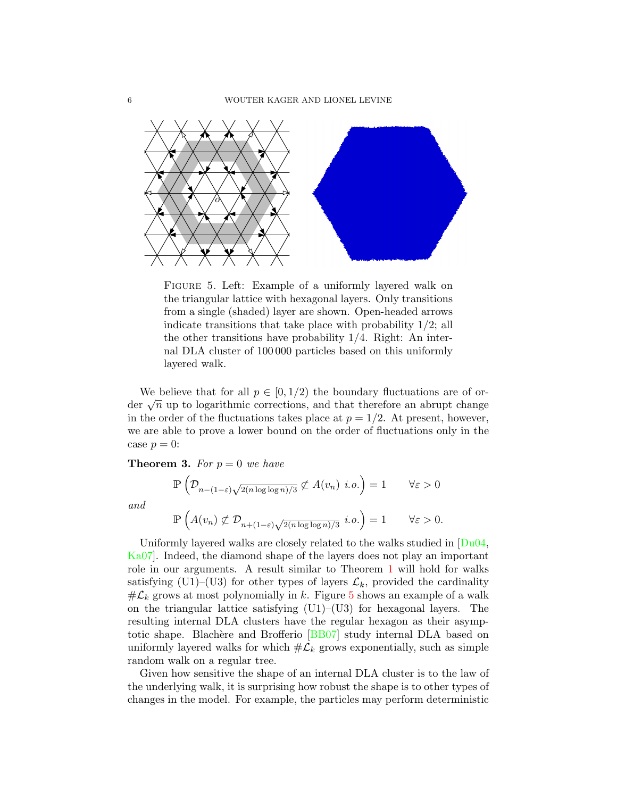

<span id="page-5-0"></span>Figure 5. Left: Example of a uniformly layered walk on the triangular lattice with hexagonal layers. Only transitions from a single (shaded) layer are shown. Open-headed arrows indicate transitions that take place with probability  $1/2$ ; all the other transitions have probability 1/4. Right: An internal DLA cluster of 100 000 particles based on this uniformly layered walk.

We believe that for all  $p \in [0, 1/2)$  the boundary fluctuations are of orwe beneve that for an  $p \in [0, 1/2)$  the boundary fluctuations are of order  $\sqrt{n}$  up to logarithmic corrections, and that therefore an abrupt change in the order of the fluctuations takes place at  $p = 1/2$ . At present, however, we are able to prove a lower bound on the order of fluctuations only in the case  $p = 0$ :

<span id="page-5-1"></span>**Theorem 3.** For  $p = 0$  we have

$$
\mathbb{P}\left(\mathcal{D}_{n-(1-\varepsilon)\sqrt{2(n\log\log n)/3}} \not\subset A(v_n) \ i.o.\right) = 1 \qquad \forall \varepsilon > 0
$$
  

$$
\mathbb{P}\left(A(v_n) \not\subset \mathcal{D}_{n+(1-\varepsilon)\sqrt{2(n\log\log n)/3}} \ i.o.\right) = 1 \qquad \forall \varepsilon > 0.
$$

and

Uniformly layered walks are closely related to the walks studied in [Du04, Ka07]. Indeed, the diamond shape of the layers does not play an important role in our arguments. A result similar to Theorem 1 will hold for walks satisfying (U1)–(U3) for other types of layers 
$$
\mathcal{L}_k
$$
, provided the cardinality  $\#\mathcal{L}_k$  grows at most polynomially in k. Figure 5 shows an example of a walk on the triangular lattice satisfying (U1)–(U3) for hexagonal layers. The resulting internal DLA clusters have the regular hexagon as their asymptotic shape. Blackère and Brofferio [BB07] study internal DLA based on uniformly layered walks for which  $\#\mathcal{L}_k$  grows exponentially, such as simple random walk on a regular tree.

Given how sensitive the shape of an internal DLA cluster is to the law of the underlying walk, it is surprising how robust the shape is to other types of changes in the model. For example, the particles may perform deterministic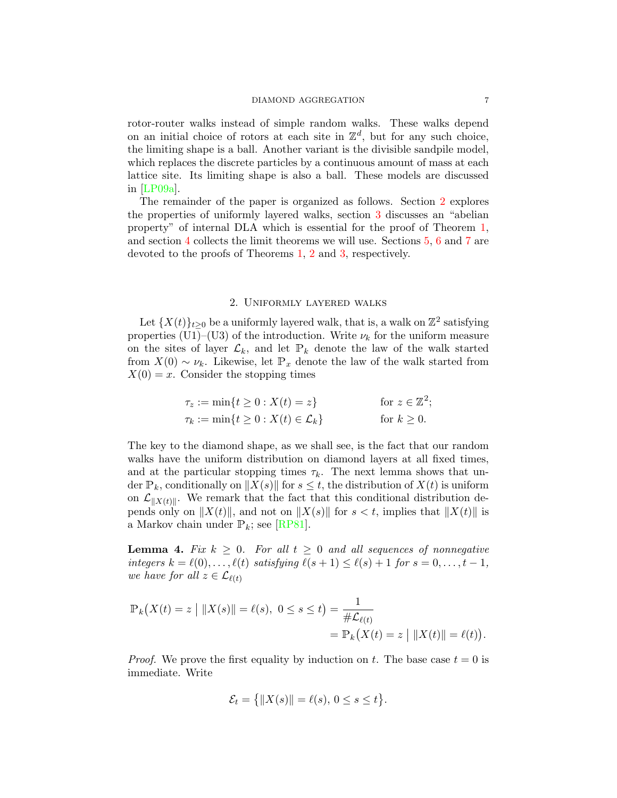### DIAMOND AGGREGATION 7

rotor-router walks instead of simple random walks. These walks depend on an initial choice of rotors at each site in  $\mathbb{Z}^d$ , but for any such choice, the limiting shape is a ball. Another variant is the divisible sandpile model, which replaces the discrete particles by a continuous amount of mass at each lattice site. Its limiting shape is also a ball. These models are discussed in [\[LP09a\]](#page-24-5).

The remainder of the paper is organized as follows. Section [2](#page-6-0) explores the properties of uniformly layered walks, section [3](#page-9-0) discusses an "abelian property" of internal DLA which is essential for the proof of Theorem [1,](#page-2-0) and section [4](#page-11-0) collects the limit theorems we will use. Sections [5,](#page-12-0) [6](#page-19-0) and [7](#page-20-0) are devoted to the proofs of Theorems [1,](#page-2-0) [2](#page-4-1) and [3,](#page-5-1) respectively.

### 2. Uniformly layered walks

<span id="page-6-0"></span>Let  $\{X(t)\}_{t\geq 0}$  be a uniformly layered walk, that is, a walk on  $\mathbb{Z}^2$  satisfying properties (U1)–(U3) of the introduction. Write  $\nu_k$  for the uniform measure on the sites of layer  $\mathcal{L}_k$ , and let  $\mathbb{P}_k$  denote the law of the walk started from  $X(0) \sim \nu_k$ . Likewise, let  $\mathbb{P}_x$  denote the law of the walk started from  $X(0) = x$ . Consider the stopping times

$$
\tau_z := \min\{t \ge 0 : X(t) = z\} \quad \text{for } z \in \mathbb{Z}^2;
$$
  

$$
\tau_k := \min\{t \ge 0 : X(t) \in \mathcal{L}_k\} \quad \text{for } k \ge 0.
$$

The key to the diamond shape, as we shall see, is the fact that our random walks have the uniform distribution on diamond layers at all fixed times, and at the particular stopping times  $\tau_k$ . The next lemma shows that under  $\mathbb{P}_k$ , conditionally on  $||X(s)||$  for  $s \leq t$ , the distribution of  $X(t)$  is uniform on  $\mathcal{L}_{\|X(t)\|}$ . We remark that the fact that this conditional distribution depends only on  $||X(t)||$ , and not on  $||X(s)||$  for  $s < t$ , implies that  $||X(t)||$  is a Markov chain under  $P_k$ ; see [\[RP81\]](#page-24-6).

<span id="page-6-1"></span>**Lemma 4.** Fix  $k > 0$ . For all  $t > 0$  and all sequences of nonnegative integers  $k = \ell(0), \ldots, \ell(t)$  satisfying  $\ell(s + 1) \leq \ell(s) + 1$  for  $s = 0, \ldots, t - 1$ , we have for all  $z \in \mathcal{L}_{\ell(t)}$ 

$$
\mathbb{P}_k(X(t) = z \mid \|X(s)\| = \ell(s), \ 0 \le s \le t) = \frac{1}{\#\mathcal{L}_{\ell(t)}} = \mathbb{P}_k(X(t) = z \mid \|X(t)\| = \ell(t)).
$$

*Proof.* We prove the first equality by induction on t. The base case  $t = 0$  is immediate. Write

$$
\mathcal{E}_t = \left\{ \|X(s)\| = \ell(s), \, 0 \le s \le t \right\}.
$$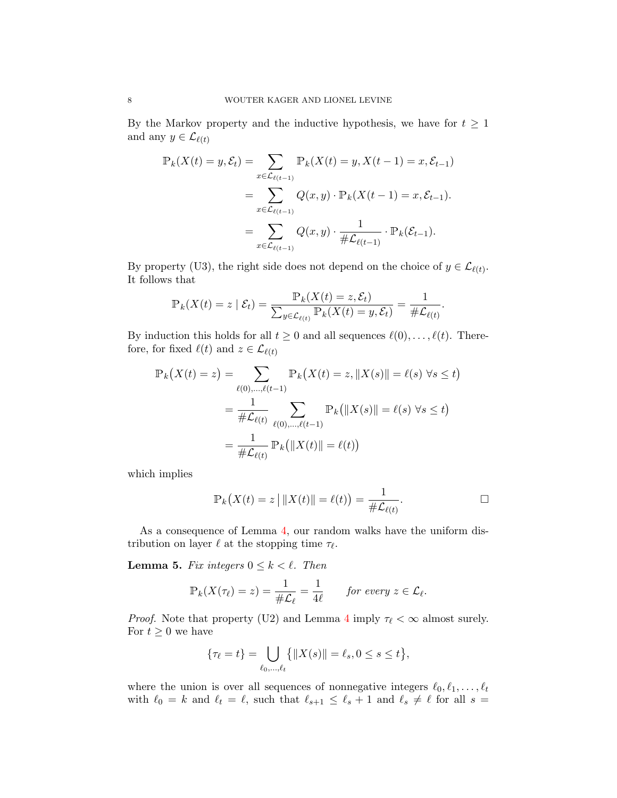By the Markov property and the inductive hypothesis, we have for  $t \geq 1$ and any  $y \in \mathcal{L}_{\ell(t)}$ 

$$
\mathbb{P}_k(X(t) = y, \mathcal{E}_t) = \sum_{x \in \mathcal{L}_{\ell(t-1)}} \mathbb{P}_k(X(t) = y, X(t-1) = x, \mathcal{E}_{t-1})
$$
  
= 
$$
\sum_{x \in \mathcal{L}_{\ell(t-1)}} Q(x, y) \cdot \mathbb{P}_k(X(t-1) = x, \mathcal{E}_{t-1}).
$$
  
= 
$$
\sum_{x \in \mathcal{L}_{\ell(t-1)}} Q(x, y) \cdot \frac{1}{\# \mathcal{L}_{\ell(t-1)}} \cdot \mathbb{P}_k(\mathcal{E}_{t-1}).
$$

By property (U3), the right side does not depend on the choice of  $y \in \mathcal{L}_{\ell(t)}$ . It follows that

$$
\mathbb{P}_{k}(X(t) = z \mid \mathcal{E}_{t}) = \frac{\mathbb{P}_{k}(X(t) = z, \mathcal{E}_{t})}{\sum_{y \in \mathcal{L}_{\ell(t)}} \mathbb{P}_{k}(X(t) = y, \mathcal{E}_{t})} = \frac{1}{\# \mathcal{L}_{\ell(t)}}.
$$

By induction this holds for all  $t \geq 0$  and all sequences  $\ell(0), \ldots, \ell(t)$ . Therefore, for fixed  $\ell(t)$  and  $z \in \mathcal{L}_{\ell(t)}$ 

$$
\mathbb{P}_k(X(t) = z) = \sum_{\ell(0), \dots, \ell(t-1)} \mathbb{P}_k(X(t) = z, \|X(s)\| = \ell(s) \,\forall s \le t)
$$

$$
= \frac{1}{\# \mathcal{L}_{\ell(t)}} \sum_{\ell(0), \dots, \ell(t-1)} \mathbb{P}_k(\|X(s)\| = \ell(s) \,\forall s \le t)
$$

$$
= \frac{1}{\# \mathcal{L}_{\ell(t)}} \mathbb{P}_k(\|X(t)\| = \ell(t))
$$

which implies

$$
\mathbb{P}_k(X(t) = z \mid \|X(t)\| = \ell(t) = \frac{1}{\#\mathcal{L}_{\ell(t)}}.\quad \Box
$$

As a consequence of Lemma [4,](#page-6-1) our random walks have the uniform distribution on layer  $\ell$  at the stopping time  $\tau_{\ell}$ .

<span id="page-7-0"></span>**Lemma 5.** Fix integers  $0 \leq k < \ell$ . Then

$$
\mathbb{P}_k(X(\tau_\ell)=z)=\frac{1}{\#\mathcal{L}_\ell}=\frac{1}{4\ell}\qquad \text{for every }z\in\mathcal{L}_\ell.
$$

*Proof.* Note that property (U2) and Lemma [4](#page-6-1) imply  $\tau_{\ell} < \infty$  almost surely. For  $t \geq 0$  we have

$$
\{\tau_{\ell} = t\} = \bigcup_{\ell_0, ..., \ell_t} \{ \|X(s)\| = \ell_s, 0 \le s \le t \},\
$$

where the union is over all sequences of nonnegative integers  $\ell_0, \ell_1, \ldots, \ell_t$ with  $\ell_0 = k$  and  $\ell_t = \ell$ , such that  $\ell_{s+1} \leq \ell_s + 1$  and  $\ell_s \neq \ell$  for all  $s =$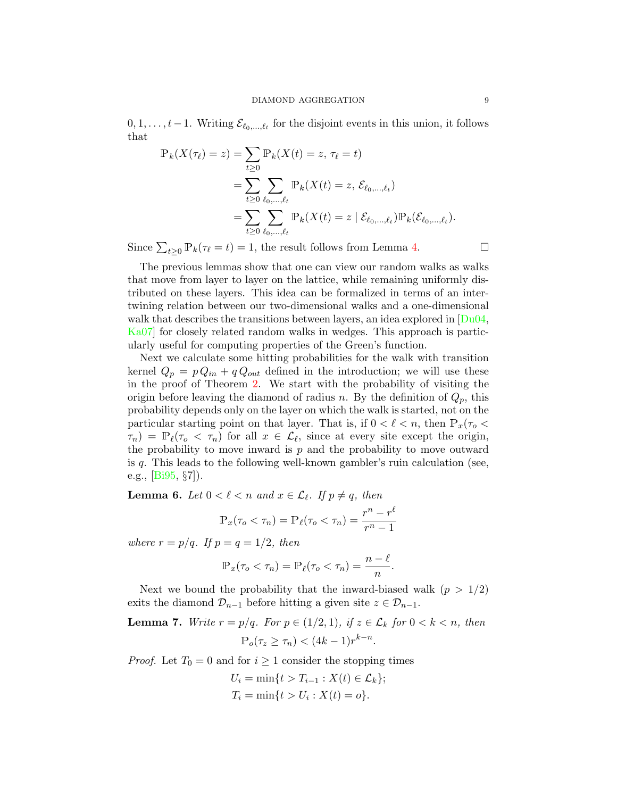$0, 1, \ldots, t-1$ . Writing  $\mathcal{E}_{\ell_0,\ldots,\ell_t}$  for the disjoint events in this union, it follows that

$$
\mathbb{P}_k(X(\tau_\ell) = z) = \sum_{t \ge 0} \mathbb{P}_k(X(t) = z, \tau_\ell = t) \n= \sum_{t \ge 0} \sum_{\ell_0, ..., \ell_t} \mathbb{P}_k(X(t) = z, \mathcal{E}_{\ell_0, ..., \ell_t}) \n= \sum_{t \ge 0} \sum_{\ell_0, ..., \ell_t} \mathbb{P}_k(X(t) = z \mid \mathcal{E}_{\ell_0, ..., \ell_t}) \mathbb{P}_k(\mathcal{E}_{\ell_0, ..., \ell_t}).
$$

Since  $\sum_{t\geq 0} \mathbb{P}_k(\tau_\ell = t) = 1$ , the result follows from Lemma [4.](#page-6-1)

The previous lemmas show that one can view our random walks as walks that move from layer to layer on the lattice, while remaining uniformly distributed on these layers. This idea can be formalized in terms of an intertwining relation between our two-dimensional walks and a one-dimensional walk that describes the transitions between layers, an idea explored in  $\sqrt{\text{Du04}}$ , [Ka07\]](#page-24-4) for closely related random walks in wedges. This approach is particularly useful for computing properties of the Green's function.

Next we calculate some hitting probabilities for the walk with transition kernel  $Q_p = p Q_{in} + q Q_{out}$  defined in the introduction; we will use these in the proof of Theorem [2.](#page-4-1) We start with the probability of visiting the origin before leaving the diamond of radius n. By the definition of  $Q_p$ , this probability depends only on the layer on which the walk is started, not on the particular starting point on that layer. That is, if  $0 < \ell < n$ , then  $\mathbb{P}_x(\tau_o <$  $\tau_n$ ) =  $\mathbb{P}_{\ell}(\tau_o < \tau_n)$  for all  $x \in \mathcal{L}_{\ell}$ , since at every site except the origin, the probability to move inward is  $p$  and the probability to move outward is q. This leads to the following well-known gambler's ruin calculation (see, e.g.,  $[Bi95, \S7]$  $[Bi95, \S7]$ ).

<span id="page-8-0"></span>**Lemma 6.** Let  $0 < \ell < n$  and  $x \in \mathcal{L}_{\ell}$ . If  $p \neq q$ , then

$$
\mathbb{P}_x(\tau_o < \tau_n) = \mathbb{P}_\ell(\tau_o < \tau_n) = \frac{r^n - r^\ell}{r^n - 1}
$$

where  $r = p/q$ . If  $p = q = 1/2$ , then

$$
\mathbb{P}_x(\tau_o < \tau_n) = \mathbb{P}_\ell(\tau_o < \tau_n) = \frac{n-\ell}{n}.
$$

Next we bound the probability that the inward-biased walk  $(p > 1/2)$ exits the diamond  $\mathcal{D}_{n-1}$  before hitting a given site  $z \in \mathcal{D}_{n-1}$ .

<span id="page-8-1"></span>**Lemma 7.** Write 
$$
r = p/q
$$
. For  $p \in (1/2, 1)$ , if  $z \in \mathcal{L}_k$  for  $0 < k < n$ , then  $\mathbb{P}_o(\tau_z \geq \tau_n) < (4k-1)r^{k-n}$ .

*Proof.* Let  $T_0 = 0$  and for  $i \ge 1$  consider the stopping times

$$
U_i = \min\{t > T_{i-1} : X(t) \in \mathcal{L}_k\};
$$
  
\n
$$
T_i = \min\{t > U_i : X(t) = o\}.
$$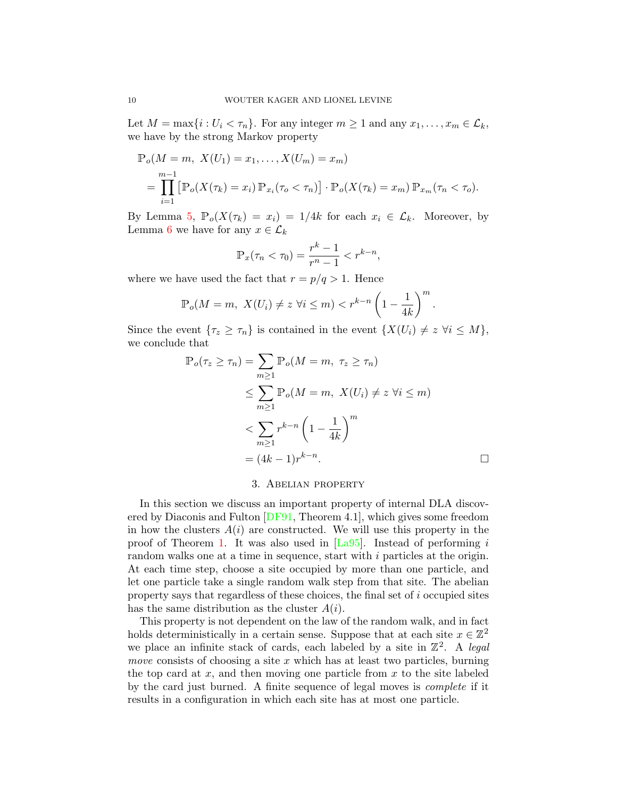Let  $M = \max\{i : U_i < \tau_n\}$ . For any integer  $m \geq 1$  and any  $x_1, \ldots, x_m \in \mathcal{L}_k$ , we have by the strong Markov property

$$
\mathbb{P}_o(M = m, \ X(U_1) = x_1, \dots, X(U_m) = x_m)
$$
  
= 
$$
\prod_{i=1}^{m-1} [\mathbb{P}_o(X(\tau_k) = x_i) \mathbb{P}_{x_i}(\tau_o < \tau_n)] \cdot \mathbb{P}_o(X(\tau_k) = x_m) \mathbb{P}_{x_m}(\tau_n < \tau_o).
$$

By Lemma [5,](#page-7-0)  $\mathbb{P}_{o}(X(\tau_k) = x_i) = 1/4k$  for each  $x_i \in \mathcal{L}_k$ . Moreover, by Lemma [6](#page-8-0) we have for any  $x \in \mathcal{L}_k$ 

$$
\mathbb{P}_x(\tau_n < \tau_0) = \frac{r^k - 1}{r^n - 1} < r^{k - n},
$$

where we have used the fact that  $r = p/q > 1$ . Hence

$$
\mathbb{P}_o(M=m, \ X(U_i) \neq z \ \forall i \leq m) < r^{k-n} \left(1 - \frac{1}{4k}\right)^m.
$$

Since the event  $\{\tau_z \geq \tau_n\}$  is contained in the event  $\{X(U_i) \neq z \; \forall i \leq M\},\$ we conclude that

$$
\mathbb{P}_o(\tau_z \ge \tau_n) = \sum_{m \ge 1} \mathbb{P}_o(M = m, \ \tau_z \ge \tau_n)
$$
  
\n
$$
\le \sum_{m \ge 1} \mathbb{P}_o(M = m, \ X(U_i) \ne z \ \forall i \le m)
$$
  
\n
$$
< \sum_{m \ge 1} r^{k-n} \left(1 - \frac{1}{4k}\right)^m
$$
  
\n
$$
= (4k - 1)r^{k-n}.
$$

### 3. Abelian property

<span id="page-9-0"></span>In this section we discuss an important property of internal DLA discovered by Diaconis and Fulton [\[DF91,](#page-23-0) Theorem 4.1], which gives some freedom in how the clusters  $A(i)$  are constructed. We will use this property in the proof of Theorem [1.](#page-2-0) It was also used in  $[La95]$ . Instead of performing i random walks one at a time in sequence, start with i particles at the origin. At each time step, choose a site occupied by more than one particle, and let one particle take a single random walk step from that site. The abelian property says that regardless of these choices, the final set of i occupied sites has the same distribution as the cluster  $A(i)$ .

<span id="page-9-1"></span>This property is not dependent on the law of the random walk, and in fact holds deterministically in a certain sense. Suppose that at each site  $x \in \mathbb{Z}^2$ we place an infinite stack of cards, each labeled by a site in  $\mathbb{Z}^2$ . A legal move consists of choosing a site  $x$  which has at least two particles, burning the top card at  $x$ , and then moving one particle from  $x$  to the site labeled by the card just burned. A finite sequence of legal moves is complete if it results in a configuration in which each site has at most one particle.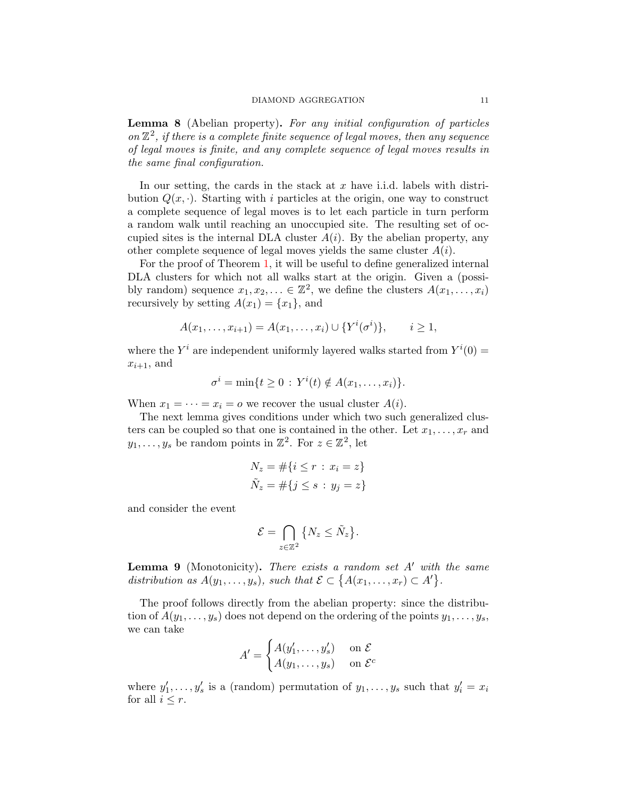Lemma 8 (Abelian property). For any initial configuration of particles on  $\mathbb{Z}^2$ , if there is a complete finite sequence of legal moves, then any sequence of legal moves is finite, and any complete sequence of legal moves results in the same final configuration.

In our setting, the cards in the stack at x have i.i.d. labels with distribution  $Q(x, \cdot)$ . Starting with i particles at the origin, one way to construct a complete sequence of legal moves is to let each particle in turn perform a random walk until reaching an unoccupied site. The resulting set of occupied sites is the internal DLA cluster  $A(i)$ . By the abelian property, any other complete sequence of legal moves yields the same cluster  $A(i)$ .

For the proof of Theorem [1,](#page-2-0) it will be useful to define generalized internal DLA clusters for which not all walks start at the origin. Given a (possibly random) sequence  $x_1, x_2, \ldots \in \mathbb{Z}^2$ , we define the clusters  $A(x_1, \ldots, x_i)$ recursively by setting  $A(x_1) = \{x_1\}$ , and

$$
A(x_1, ..., x_{i+1}) = A(x_1, ..., x_i) \cup \{Y^i(\sigma^i)\}, \quad i \ge 1,
$$

where the  $Y^i$  are independent uniformly layered walks started from  $Y^i(0)$  =  $x_{i+1}$ , and

$$
\sigma^i = \min\{t \geq 0 : Y^i(t) \notin A(x_1,\ldots,x_i)\}.
$$

When  $x_1 = \cdots = x_i = o$  we recover the usual cluster  $A(i)$ .

The next lemma gives conditions under which two such generalized clusters can be coupled so that one is contained in the other. Let  $x_1, \ldots, x_r$  and  $y_1, \ldots, y_s$  be random points in  $\mathbb{Z}^2$ . For  $z \in \mathbb{Z}^2$ , let

$$
N_z = #\{i \le r : x_i = z\}
$$
  

$$
\tilde{N}_z = #\{j \le s : y_j = z\}
$$

and consider the event

$$
\mathcal{E} = \bigcap_{z \in \mathbb{Z}^2} \{ N_z \le \tilde{N}_z \}.
$$

<span id="page-10-0"></span>**Lemma 9** (Monotonicity). There exists a random set  $A'$  with the same distribution as  $A(y_1,\ldots,y_s)$ , such that  $\mathcal{E} \subset \{A(x_1,\ldots,x_r) \subset A'\}.$ 

The proof follows directly from the abelian property: since the distribution of  $A(y_1, \ldots, y_s)$  does not depend on the ordering of the points  $y_1, \ldots, y_s$ , we can take

$$
A' = \begin{cases} A(y'_1, \dots, y'_s) & \text{on } \mathcal{E} \\ A(y_1, \dots, y_s) & \text{on } \mathcal{E}^c \end{cases}
$$

where  $y'_1, \ldots, y'_s$  is a (random) permutation of  $y_1, \ldots, y_s$  such that  $y'_i = x_i$ for all  $i \leq r$ .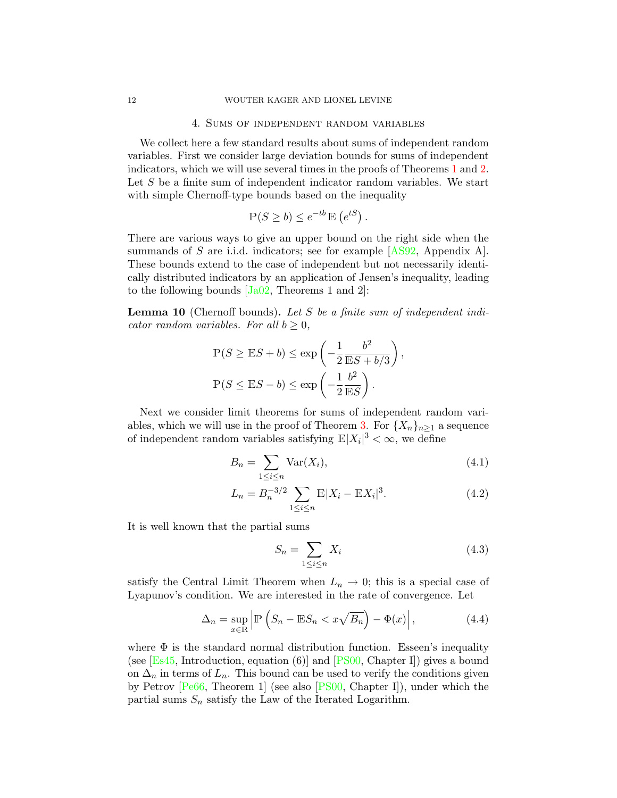### 4. Sums of independent random variables

<span id="page-11-0"></span>We collect here a few standard results about sums of independent random variables. First we consider large deviation bounds for sums of independent indicators, which we will use several times in the proofs of Theorems [1](#page-2-0) and [2.](#page-4-1) Let  $S$  be a finite sum of independent indicator random variables. We start with simple Chernoff-type bounds based on the inequality

$$
\mathbb{P}(S \ge b) \le e^{-tb} \mathbb{E}(e^{tS}).
$$

There are various ways to give an upper bound on the right side when the summands of S are i.i.d. indicators; see for example  $[AS92,$  Appendix A. These bounds extend to the case of independent but not necessarily identically distributed indicators by an application of Jensen's inequality, leading to the following bounds  $[Ja02,$  Theorems 1 and 2]:

<span id="page-11-4"></span>**Lemma 10** (Chernoff bounds). Let S be a finite sum of independent indicator random variables. For all  $b \geq 0$ ,

$$
\mathbb{P}(S \ge \mathbb{E}S + b) \le \exp\left(-\frac{1}{2}\frac{b^2}{\mathbb{E}S + b/3}\right),
$$
  

$$
\mathbb{P}(S \le \mathbb{E}S - b) \le \exp\left(-\frac{1}{2}\frac{b^2}{\mathbb{E}S}\right).
$$

Next we consider limit theorems for sums of independent random vari-ables, which we will use in the proof of Theorem [3.](#page-5-1) For  $\{X_n\}_{n>1}$  a sequence of independent random variables satisfying  $\mathbb{E}|X_i|^3 < \infty$ , we define

$$
B_n = \sum_{1 \le i \le n} \text{Var}(X_i),\tag{4.1}
$$

$$
L_n = B_n^{-3/2} \sum_{1 \le i \le n} \mathbb{E}|X_i - \mathbb{E}X_i|^3.
$$
 (4.2)

It is well known that the partial sums

<span id="page-11-3"></span><span id="page-11-1"></span>
$$
S_n = \sum_{1 \le i \le n} X_i \tag{4.3}
$$

satisfy the Central Limit Theorem when  $L_n \to 0$ ; this is a special case of Lyapunov's condition. We are interested in the rate of convergence. Let

<span id="page-11-2"></span>
$$
\Delta_n = \sup_{x \in \mathbb{R}} \left| \mathbb{P} \left( S_n - \mathbb{E} S_n < x \sqrt{B_n} \right) - \Phi(x) \right|,\tag{4.4}
$$

<span id="page-11-5"></span>where  $\Phi$  is the standard normal distribution function. Esseen's inequality (see  $[Es45, Introduction, equation (6)]$  $[Es45, Introduction, equation (6)]$  and  $[PS00, Chapter I]$  $[PS00, Chapter I]$ ) gives a bound on  $\Delta_n$  in terms of  $L_n$ . This bound can be used to verify the conditions given by Petrov [\[Pe66,](#page-24-9) Theorem 1] (see also [\[PS00,](#page-24-8) Chapter I]), under which the partial sums  $S_n$  satisfy the Law of the Iterated Logarithm.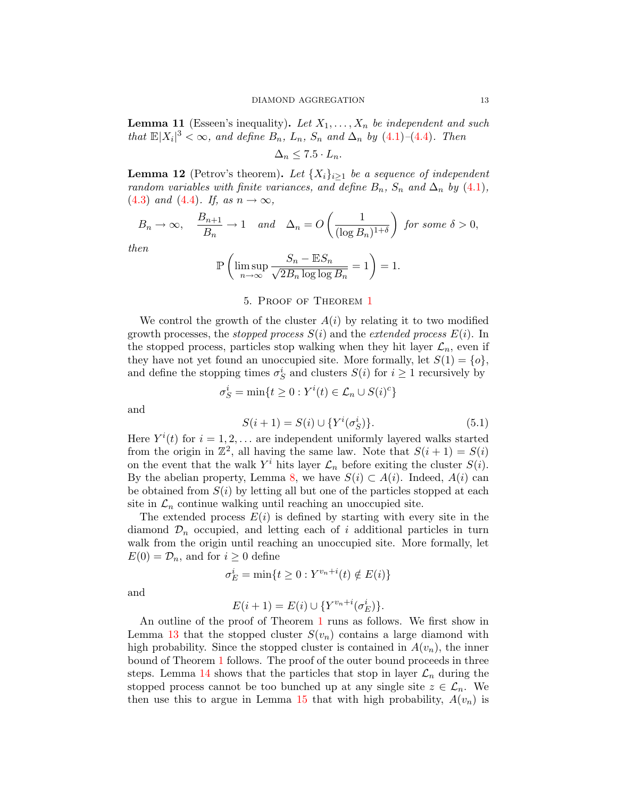**Lemma 11** (Esseen's inequality). Let  $X_1, \ldots, X_n$  be independent and such that  $\mathbb{E}|X_i|^3 < \infty$ , and define  $B_n$ ,  $L_n$ ,  $S_n$  and  $\Delta_n$  by [\(4.1\)](#page-11-1)–[\(4.4\)](#page-11-2). Then

$$
\Delta_n \leq 7.5 \cdot L_n.
$$

<span id="page-12-2"></span>**Lemma 12** (Petrov's theorem). Let  $\{X_i\}_{i>1}$  be a sequence of independent random variables with finite variances, and define  $B_n$ ,  $S_n$  and  $\Delta_n$  by [\(4.1\)](#page-11-1), [\(4.3\)](#page-11-3) and [\(4.4\)](#page-11-2). If, as  $n \to \infty$ ,

$$
B_n \to \infty
$$
,  $\frac{B_{n+1}}{B_n} \to 1$  and  $\Delta_n = O\left(\frac{1}{(\log B_n)^{1+\delta}}\right)$  for some  $\delta > 0$ ,

then

$$
\mathbb{P}\left(\limsup_{n\to\infty}\frac{S_n - \mathbb{E}S_n}{\sqrt{2B_n\log\log B_n}} = 1\right) = 1.
$$

## 5. Proof of Theorem [1](#page-2-0)

<span id="page-12-0"></span>We control the growth of the cluster  $A(i)$  by relating it to two modified growth processes, the *stopped process*  $S(i)$  and the *extended process*  $E(i)$ . In the stopped process, particles stop walking when they hit layer  $\mathcal{L}_n$ , even if they have not yet found an unoccupied site. More formally, let  $S(1) = \{o\}$ , and define the stopping times  $\sigma_S^i$  and clusters  $S(i)$  for  $i \geq 1$  recursively by

 $\sigma_S^i = \min\{t \geq 0 : Y^i(t) \in \mathcal{L}_n \cup S(i)^c\}$ 

and

<span id="page-12-1"></span>
$$
S(i + 1) = S(i) \cup \{ Y^i(\sigma_S^i) \}.
$$
\n(5.1)

Here  $Y^{i}(t)$  for  $i = 1, 2, \ldots$  are independent uniformly layered walks started from the origin in  $\mathbb{Z}^2$ , all having the same law. Note that  $S(i + 1) = S(i)$ on the event that the walk  $Y^i$  hits layer  $\mathcal{L}_n$  before exiting the cluster  $S(i)$ . By the abelian property, Lemma [8,](#page-9-1) we have  $S(i) \subset A(i)$ . Indeed,  $A(i)$  can be obtained from  $S(i)$  by letting all but one of the particles stopped at each site in  $\mathcal{L}_n$  continue walking until reaching an unoccupied site.

The extended process  $E(i)$  is defined by starting with every site in the diamond  $\mathcal{D}_n$  occupied, and letting each of i additional particles in turn walk from the origin until reaching an unoccupied site. More formally, let  $E(0) = \mathcal{D}_n$ , and for  $i \geq 0$  define

$$
\sigma_E^i = \min\{t \ge 0 : Y^{v_n + i}(t) \notin E(i)\}
$$

and

$$
E(i + 1) = E(i) \cup \{ Y^{v_n + i}(\sigma_E^i) \}.
$$

An outline of the proof of Theorem [1](#page-2-0) runs as follows. We first show in Lemma [13](#page-13-0) that the stopped cluster  $S(v_n)$  contains a large diamond with high probability. Since the stopped cluster is contained in  $A(v_n)$ , the inner bound of Theorem [1](#page-2-0) follows. The proof of the outer bound proceeds in three steps. Lemma [14](#page-15-0) shows that the particles that stop in layer  $\mathcal{L}_n$  during the stopped process cannot be too bunched up at any single site  $z \in \mathcal{L}_n$ . We then use this to argue in Lemma [15](#page-17-0) that with high probability,  $A(v_n)$  is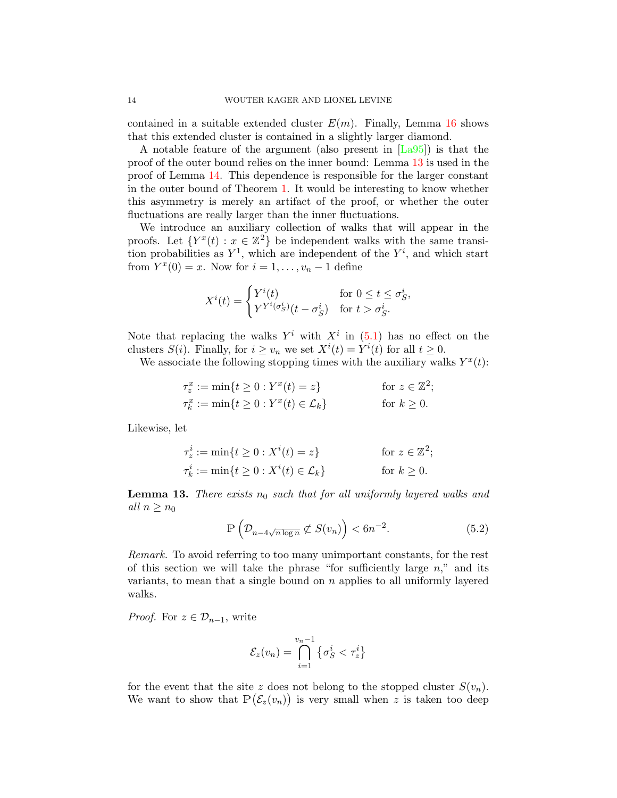contained in a suitable extended cluster  $E(m)$ . Finally, Lemma [16](#page-18-0) shows that this extended cluster is contained in a slightly larger diamond.

A notable feature of the argument (also present in  $[La95]$ ) is that the proof of the outer bound relies on the inner bound: Lemma [13](#page-13-0) is used in the proof of Lemma [14.](#page-15-0) This dependence is responsible for the larger constant in the outer bound of Theorem [1.](#page-2-0) It would be interesting to know whether this asymmetry is merely an artifact of the proof, or whether the outer fluctuations are really larger than the inner fluctuations.

We introduce an auxiliary collection of walks that will appear in the proofs. Let  $\{Y^x(t): x \in \mathbb{Z}^2\}$  be independent walks with the same transition probabilities as  $Y^1$ , which are independent of the  $Y^i$ , and which start from  $Y^x(0) = x$ . Now for  $i = 1, \ldots, v_n - 1$  define

$$
X^{i}(t) = \begin{cases} Y^{i}(t) & \text{for } 0 \leq t \leq \sigma_{S}^{i}, \\ Y^{Y^{i}(\sigma_{S}^{i})}(t - \sigma_{S}^{i}) & \text{for } t > \sigma_{S}^{i}.\end{cases}
$$

Note that replacing the walks  $Y^i$  with  $X^i$  in  $(5.1)$  has no effect on the clusters  $S(i)$ . Finally, for  $i \geq v_n$  we set  $X^{i}(t) = Y^{i}(t)$  for all  $t \geq 0$ .

We associate the following stopping times with the auxiliary walks  $Y^x(t)$ :

$$
\tau_z^x := \min\{t \ge 0 : Y^x(t) = z\} \qquad \text{for } z \in \mathbb{Z}^2;
$$
  

$$
\tau_k^x := \min\{t \ge 0 : Y^x(t) \in \mathcal{L}_k\} \qquad \text{for } k \ge 0.
$$

Likewise, let

$$
\tau_z^i := \min\{t \ge 0 : X^i(t) = z\} \quad \text{for } z \in \mathbb{Z}^2;
$$
  

$$
\tau_k^i := \min\{t \ge 0 : X^i(t) \in \mathcal{L}_k\} \quad \text{for } k \ge 0.
$$

<span id="page-13-0"></span>**Lemma 13.** There exists  $n_0$  such that for all uniformly layered walks and all  $n \geq n_0$ 

$$
\mathbb{P}\left(\mathcal{D}_{n-4\sqrt{n\log n}}\not\subset S(v_n)\right) < 6n^{-2}.\tag{5.2}
$$

Remark. To avoid referring to too many unimportant constants, for the rest of this section we will take the phrase "for sufficiently large  $n$ ," and its variants, to mean that a single bound on  $n$  applies to all uniformly layered walks.

*Proof.* For  $z \in \mathcal{D}_{n-1}$ , write

$$
\mathcal{E}_z(v_n) = \bigcap_{i=1}^{v_n - 1} \left\{ \sigma_S^i < \tau_z^i \right\}
$$

for the event that the site z does not belong to the stopped cluster  $S(v_n)$ . We want to show that  $\mathbb{P}(\mathcal{E}_z(v_n))$  is very small when z is taken too deep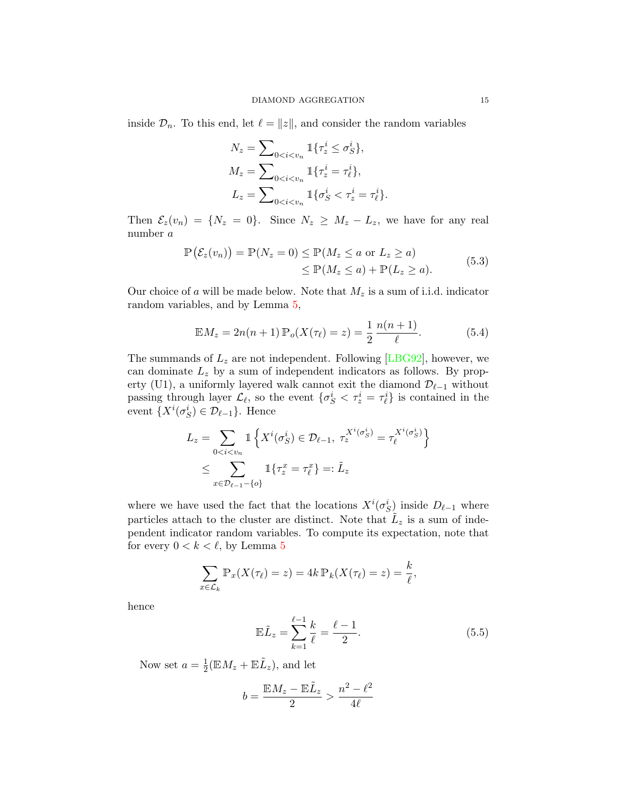inside  $\mathcal{D}_n$ . To this end, let  $\ell = ||z||$ , and consider the random variables

$$
N_z = \sum_{0 < i < v_n} \mathbb{1}\{\tau_z^i \le \sigma_S^i\},
$$
\n
$$
M_z = \sum_{0 < i < v_n} \mathbb{1}\{\tau_z^i = \tau_\ell^i\},
$$
\n
$$
L_z = \sum_{0 < i < v_n} \mathbb{1}\{\sigma_S^i < \tau_z^i = \tau_\ell^i\}.
$$

Then  $\mathcal{E}_z(v_n) = \{N_z = 0\}$ . Since  $N_z \geq M_z - L_z$ , we have for any real number a

$$
\mathbb{P}(\mathcal{E}_z(v_n)) = \mathbb{P}(N_z = 0) \le \mathbb{P}(M_z \le a \text{ or } L_z \ge a)
$$
  
\n
$$
\le \mathbb{P}(M_z \le a) + \mathbb{P}(L_z \ge a).
$$
\n(5.3)

<span id="page-14-2"></span>Our choice of a will be made below. Note that  $M_z$  is a sum of i.i.d. indicator random variables, and by Lemma [5,](#page-7-0)

<span id="page-14-0"></span>
$$
\mathbb{E}M_z = 2n(n+1)\,\mathbb{P}_o(X(\tau_\ell) = z) = \frac{1}{2}\,\frac{n(n+1)}{\ell}.\tag{5.4}
$$

The summands of  $L_z$  are not independent. Following [\[LBG92\]](#page-24-0), however, we can dominate  $L_z$  by a sum of independent indicators as follows. By property (U1), a uniformly layered walk cannot exit the diamond  $\mathcal{D}_{\ell-1}$  without passing through layer  $\mathcal{L}_{\ell}$ , so the event  $\{\sigma_S^i < \tau_z^i = \tau_{\ell}^i\}$  is contained in the event  $\{X^i(\sigma_S^i) \in \mathcal{D}_{\ell-1}\}.$  Hence

$$
L_z = \sum_{0 < i < v_n} \mathbb{1} \left\{ X^i(\sigma_S^i) \in \mathcal{D}_{\ell-1}, \ \tau_z^{X^i(\sigma_S^i)} = \tau_\ell^{X^i(\sigma_S^i)} \right\}
$$
\n
$$
\leq \sum_{x \in \mathcal{D}_{\ell-1} - \{o\}} \mathbb{1} \left\{ \tau_z^x = \tau_\ell^x \right\} =: \tilde{L}_z
$$

where we have used the fact that the locations  $X^i(\sigma_S^i)$  inside  $D_{\ell-1}$  where particles attach to the cluster are distinct. Note that  $\tilde{L}_z$  is a sum of independent indicator random variables. To compute its expectation, note that for every  $0 < k < \ell$ , by Lemma [5](#page-7-0)

$$
\sum_{x \in \mathcal{L}_k} \mathbb{P}_x(X(\tau_\ell) = z) = 4k \mathbb{P}_k(X(\tau_\ell) = z) = \frac{k}{\ell},
$$

hence

<span id="page-14-1"></span>
$$
\mathbb{E}\tilde{L}_z = \sum_{k=1}^{\ell-1} \frac{k}{\ell} = \frac{\ell-1}{2}.
$$
 (5.5)

Now set  $a=\frac{1}{2}$  $\frac{1}{2}(\mathbb{E}M_z + \mathbb{E}\tilde{L}_z)$ , and let

$$
b=\frac{\mathbb{E} M_z-\mathbb{E} \tilde{L}_z}{2}>\frac{n^2-\ell^2}{4\ell}
$$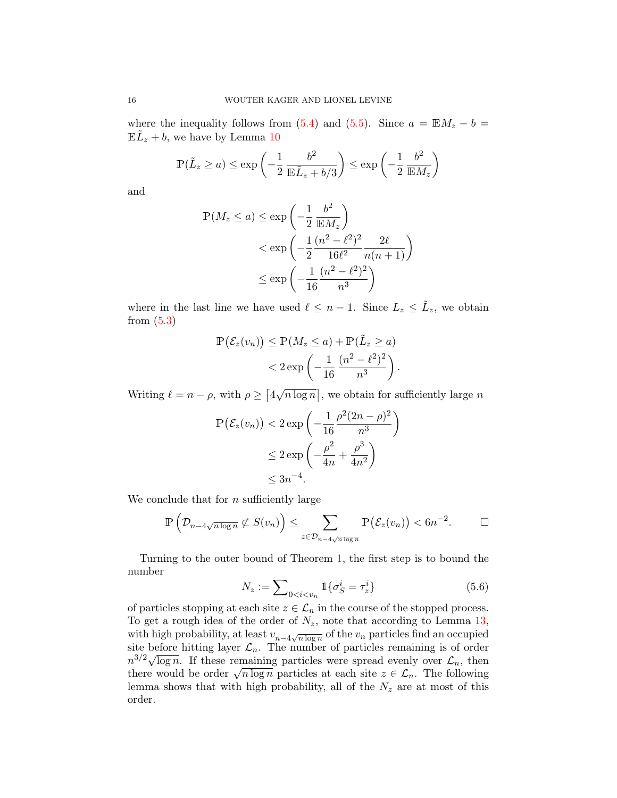where the inequality follows from [\(5.4\)](#page-14-0) and [\(5.5\)](#page-14-1). Since  $a = \mathbb{E} M_z - b =$  $\mathbb{E} \tilde{L}_z + b$ , we have by Lemma [10](#page-11-4)

$$
\mathbb{P}(\tilde{L}_z \ge a) \le \exp\left(-\frac{1}{2} \frac{b^2}{\mathbb{E}\tilde{L}_z + b/3}\right) \le \exp\left(-\frac{1}{2} \frac{b^2}{\mathbb{E}M_z}\right)
$$

and

$$
\mathbb{P}(M_z \le a) \le \exp\left(-\frac{1}{2} \frac{b^2}{\mathbb{E}M_z}\right)
$$
  

$$
< \exp\left(-\frac{1}{2} \frac{(n^2 - \ell^2)^2}{16\ell^2} \frac{2\ell}{n(n+1)}\right)
$$
  

$$
\le \exp\left(-\frac{1}{16} \frac{(n^2 - \ell^2)^2}{n^3}\right)
$$

where in the last line we have used  $\ell \leq n-1$ . Since  $L_z \leq \tilde{L}_z$ , we obtain from [\(5.3\)](#page-14-2)

$$
\mathbb{P}\left(\mathcal{E}_z(v_n)\right) \le \mathbb{P}(M_z \le a) + \mathbb{P}(\tilde{L}_z \ge a)
$$
  
< 
$$
< 2 \exp\left(-\frac{1}{16} \frac{(n^2 - \ell^2)^2}{n^3}\right).
$$

Writing  $\ell = n - \rho$ , with  $\rho \geq \lceil 4 \rceil$ √  $\overline{n \log n}$ , we obtain for sufficiently large n

$$
\mathbb{P}(\mathcal{E}_z(v_n)) < 2 \exp\left(-\frac{1}{16} \frac{\rho^2 (2n - \rho)^2}{n^3}\right) \\
&\leq 2 \exp\left(-\frac{\rho^2}{4n} + \frac{\rho^3}{4n^2}\right) \\
&\leq 3n^{-4}.
$$

We conclude that for  $n$  sufficiently large

$$
\mathbb{P}\left(\mathcal{D}_{n-4\sqrt{n\log n}}\not\subset S(v_n)\right)\leq \sum_{z\in\mathcal{D}_{n-4\sqrt{n\log n}}}\mathbb{P}\left(\mathcal{E}_z(v_n)\right)<6n^{-2}.\qquad \Box
$$

Turning to the outer bound of Theorem [1,](#page-2-0) the first step is to bound the number

$$
N_z := \sum_{0 < i < v_n} 1\{\sigma_S^i = \tau_z^i\} \tag{5.6}
$$

<span id="page-15-0"></span>of particles stopping at each site  $z \in \mathcal{L}_n$  in the course of the stopped process. To get a rough idea of the order of  $N_z$ , note that according to Lemma [13,](#page-13-0) with high probability, at least  $v_{n-4\sqrt{n \log n}}$  of the  $v_n$  particles find an occupied site before hitting layer  $\mathcal{L}_n$ . The number of particles remaining is of order site before intting layer  $\mathcal{L}_n$ . The number of particles remaining is of order  $n^{3/2}\sqrt{\log n}$ . If these remaining particles were spread evenly over  $\mathcal{L}_n$ , then  $n^{\gamma}$   $\gamma$  log n. It these remaining particles were spread eventy over  $\mathcal{L}_n$ , then there would be order  $\sqrt{n \log n}$  particles at each site  $z \in \mathcal{L}_n$ . The following lemma shows that with high probability, all of the  $N_z$  are at most of this order.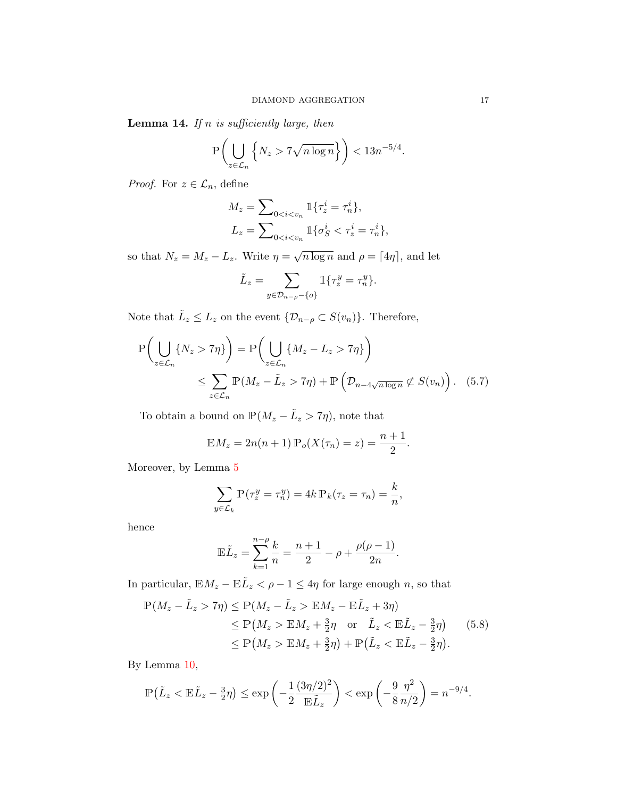**Lemma 14.** If n is sufficiently large, then

$$
\mathbb{P}\left(\bigcup_{z\in\mathcal{L}_n}\left\{N_z>7\sqrt{n\log n}\right\}\right)<13n^{-5/4}.
$$

*Proof.* For  $z \in \mathcal{L}_n$ , define

$$
M_z = \sum_{0 < i < v_n} \mathbb{1}\{\tau_z^i = \tau_n^i\},
$$
  

$$
L_z = \sum_{0 < i < v_n} \mathbb{1}\{\sigma_S^i < \tau_z^i = \tau_n^i\},
$$

so that  $N_z = M_z - L_z$ . Write  $\eta =$ √  $\overline{n \log n}$  and  $\rho = \lceil 4\eta \rceil$ , and let

<span id="page-16-0"></span>
$$
\tilde{L}_z = \sum_{y \in \mathcal{D}_{n-\rho}-\{o\}} \mathbb{1}\{\tau_z^y = \tau_n^y\}.
$$

Note that  $\tilde{L}_z \leq L_z$  on the event  $\{\mathcal{D}_{n-\rho} \subset S(v_n)\}\$ . Therefore,

$$
\mathbb{P}\left(\bigcup_{z \in \mathcal{L}_n} \{N_z > 7\eta\}\right) = \mathbb{P}\left(\bigcup_{z \in \mathcal{L}_n} \{M_z - L_z > 7\eta\}\right)
$$
  
\$\leq \sum\_{z \in \mathcal{L}\_n} \mathbb{P}(M\_z - \tilde{L}\_z > 7\eta) + \mathbb{P}\left(\mathcal{D}\_{n-4\sqrt{n\log n}} \not\subset S(v\_n)\right).\$ (5.7)

To obtain a bound on  $\mathbb{P}(M_z - \tilde{L}_z > 7\eta)$ , note that

$$
\mathbb{E}M_z = 2n(n+1)\,\mathbb{P}_o(X(\tau_n) = z) = \frac{n+1}{2}.
$$

Moreover, by Lemma [5](#page-7-0)

$$
\sum_{y \in \mathcal{L}_k} \mathbb{P}(\tau_z^y = \tau_n^y) = 4k \, \mathbb{P}_k(\tau_z = \tau_n) = \frac{k}{n},
$$

hence

$$
\mathbb{E}\tilde{L}_z = \sum_{k=1}^{n-\rho} \frac{k}{n} = \frac{n+1}{2} - \rho + \frac{\rho(\rho-1)}{2n}.
$$

In particular,  $\mathbb{E}M_z - \mathbb{E}\tilde{L}_z < \rho - 1 \leq 4\eta$  for large enough n, so that

<span id="page-16-1"></span>
$$
\mathbb{P}(M_z - \tilde{L}_z > 7\eta) \le \mathbb{P}(M_z - \tilde{L}_z > \mathbb{E}M_z - \mathbb{E}\tilde{L}_z + 3\eta)
$$
  
\n
$$
\le \mathbb{P}(M_z > \mathbb{E}M_z + \frac{3}{2}\eta \text{ or } \tilde{L}_z < \mathbb{E}\tilde{L}_z - \frac{3}{2}\eta) \qquad (5.8)
$$
  
\n
$$
\le \mathbb{P}(M_z > \mathbb{E}M_z + \frac{3}{2}\eta) + \mathbb{P}(\tilde{L}_z < \mathbb{E}\tilde{L}_z - \frac{3}{2}\eta).
$$

By Lemma [10,](#page-11-4)

$$
\mathbb{P}\big(\tilde{L}_z < \mathbb{E}\tilde{L}_z - \frac{3}{2}\eta\big) \le \exp\left(-\frac{1}{2}\frac{(3\eta/2)^2}{\mathbb{E}\tilde{L}_z}\right) < \exp\left(-\frac{9}{8}\frac{\eta^2}{n/2}\right) = n^{-9/4}.
$$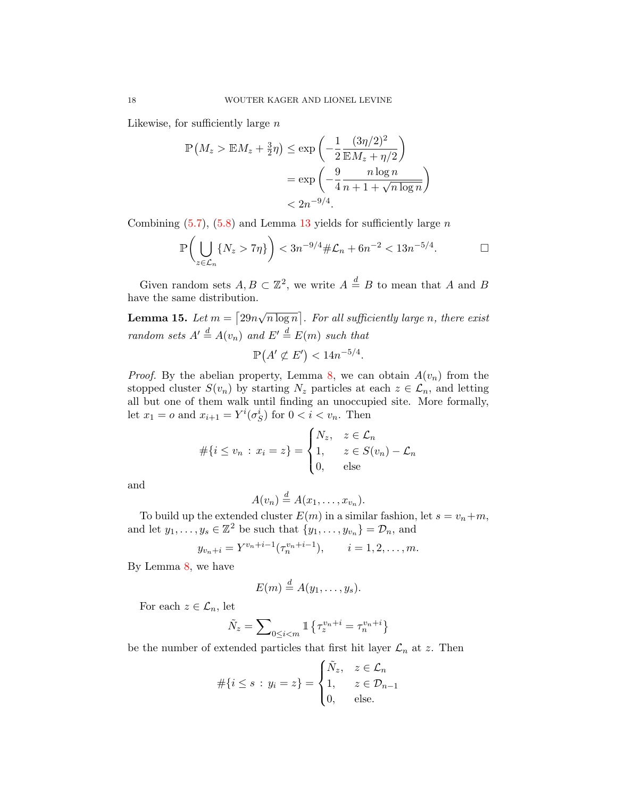Likewise, for sufficiently large  $n$ 

$$
\mathbb{P}\left(M_z > \mathbb{E}M_z + \frac{3}{2}\eta\right) \le \exp\left(-\frac{1}{2}\frac{(3\eta/2)^2}{\mathbb{E}M_z + \eta/2}\right)
$$
\n
$$
= \exp\left(-\frac{9}{4}\frac{n\log n}{n+1+\sqrt{n\log n}}\right)
$$
\n
$$
< 2n^{-9/4}.
$$

Combining  $(5.7)$ ,  $(5.8)$  and Lemma [13](#page-13-0) yields for sufficiently large n

$$
\mathbb{P}\left(\bigcup_{z\in\mathcal{L}_n} \{N_z > 7\eta\}\right) < 3n^{-9/4} \#\mathcal{L}_n + 6n^{-2} < 13n^{-5/4}.
$$

Given random sets  $A, B \subset \mathbb{Z}^2$ , we write  $A \stackrel{d}{=} B$  to mean that A and B have the same distribution.

<span id="page-17-0"></span>Lemma 15. Let  $m = \lceil 29n \rceil$ √  $\overline{n \log n}$ . For all sufficiently large n, there exist random sets  $A' \stackrel{d}{=} A(v_n)$  and  $E' \stackrel{d}{=} E(m)$  such that

$$
\mathbb{P}(A' \not\subset E') < 14n^{-5/4}.
$$

*Proof.* By the abelian property, Lemma [8,](#page-9-1) we can obtain  $A(v_n)$  from the stopped cluster  $S(v_n)$  by starting  $N_z$  particles at each  $z \in \mathcal{L}_n$ , and letting all but one of them walk until finding an unoccupied site. More formally, let  $x_1 = o$  and  $x_{i+1} = Y^i(\sigma_S^i)$  for  $0 < i < v_n$ . Then

$$
#\{i \le v_n : x_i = z\} = \begin{cases} N_z, & z \in \mathcal{L}_n \\ 1, & z \in S(v_n) - \mathcal{L}_n \\ 0, & \text{else} \end{cases}
$$

and

$$
A(v_n) \stackrel{d}{=} A(x_1, \ldots, x_{v_n}).
$$

To build up the extended cluster  $E(m)$  in a similar fashion, let  $s = v_n + m$ , and let  $y_1, \ldots, y_s \in \mathbb{Z}^2$  be such that  $\{y_1, \ldots, y_{v_n}\} = \mathcal{D}_n$ , and

$$
y_{v_n+i} = Y^{v_n+i-1}(\tau_n^{v_n+i-1}),
$$
   
  $i = 1, 2, ..., m.$ 

By Lemma [8,](#page-9-1) we have

$$
E(m) \stackrel{d}{=} A(y_1,\ldots,y_s).
$$

For each  $z \in \mathcal{L}_n$ , let

$$
\tilde{N}_z = \sum\nolimits_{0 \le i < m} \mathbbm{1} \left\{ \tau_z^{v_n + i} = \tau_n^{v_n + i} \right\}
$$

be the number of extended particles that first hit layer  $\mathcal{L}_n$  at z. Then

$$
\#\{i \le s \,:\, y_i = z\} = \begin{cases} \tilde{N}_z, & z \in \mathcal{L}_n \\ 1, & z \in \mathcal{D}_{n-1} \\ 0, & \text{else.} \end{cases}
$$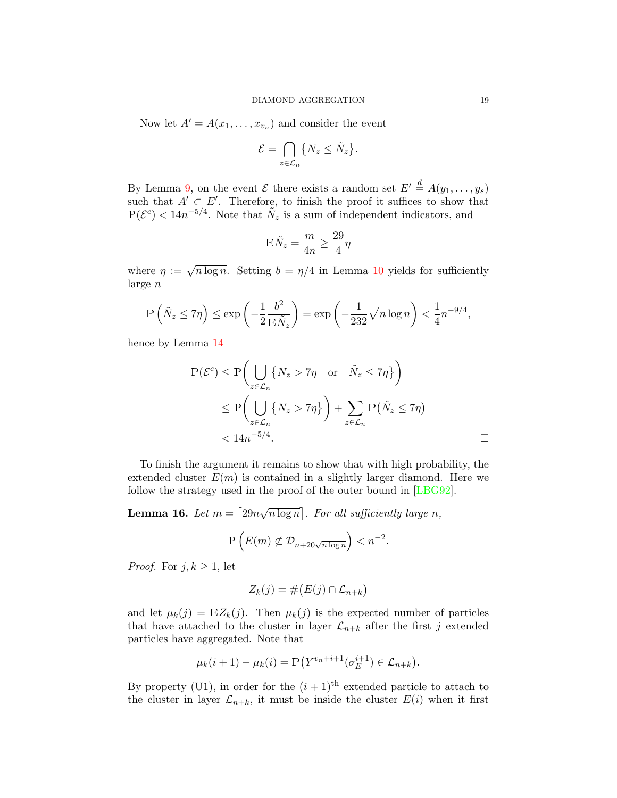Now let  $A' = A(x_1, \ldots, x_{v_n})$  and consider the event

$$
\mathcal{E} = \bigcap_{z \in \mathcal{L}_n} \{ N_z \le \tilde{N}_z \}.
$$

By Lemma [9,](#page-10-0) on the event  $\mathcal E$  there exists a random set  $E' \stackrel{d}{=} A(y_1, \ldots, y_s)$ such that  $A' \subset E'$ . Therefore, to finish the proof it suffices to show that  $\mathbb{P}(\mathcal{E}^c) < 14n^{-5/4}$ . Note that  $\tilde{N}_z$  is a sum of independent indicators, and

$$
\mathbb{E}\tilde{N}_z = \frac{m}{4n} \ge \frac{29}{4}\eta
$$

where  $\eta := \sqrt{n \log n}$ . Setting  $b = \eta/4$  in Lemma [10](#page-11-4) yields for sufficiently large n

$$
\mathbb{P}\left(\tilde{N}_z \le 7\eta\right) \le \exp\left(-\frac{1}{2}\frac{b^2}{\mathbb{E}\tilde{N}_z}\right) = \exp\left(-\frac{1}{232}\sqrt{n\log n}\right) < \frac{1}{4}n^{-9/4},
$$

hence by Lemma [14](#page-15-0)

$$
\mathbb{P}(\mathcal{E}^c) \le \mathbb{P}\Big(\bigcup_{z \in \mathcal{L}_n} \{N_z > 7\eta \text{ or } \tilde{N}_z \le 7\eta\}\Big) \n\le \mathbb{P}\Big(\bigcup_{z \in \mathcal{L}_n} \{N_z > 7\eta\}\Big) + \sum_{z \in \mathcal{L}_n} \mathbb{P}(\tilde{N}_z \le 7\eta) \n< 14n^{-5/4}.
$$

To finish the argument it remains to show that with high probability, the extended cluster  $E(m)$  is contained in a slightly larger diamond. Here we follow the strategy used in the proof of the outer bound in [\[LBG92\]](#page-24-0).

<span id="page-18-0"></span>**Lemma 16.** Let  $m = \lceil 29n \rceil$ √  $\overline{n \log n}$ . For all sufficiently large n,

$$
\mathbb{P}\left(E(m) \not\subset \mathcal{D}_{n+20\sqrt{n\log n}}\right) < n^{-2}.
$$

*Proof.* For  $j, k \geq 1$ , let

$$
Z_k(j) = \# \big( E(j) \cap \mathcal{L}_{n+k} \big)
$$

and let  $\mu_k(j) = \mathbb{E}Z_k(j)$ . Then  $\mu_k(j)$  is the expected number of particles that have attached to the cluster in layer  $\mathcal{L}_{n+k}$  after the first j extended particles have aggregated. Note that

$$
\mu_k(i + 1) - \mu_k(i) = \mathbb{P}(Y^{v_n + i + 1}(\sigma_E^{i+1}) \in \mathcal{L}_{n+k}).
$$

By property (U1), in order for the  $(i + 1)$ <sup>th</sup> extended particle to attach to the cluster in layer  $\mathcal{L}_{n+k}$ , it must be inside the cluster  $E(i)$  when it first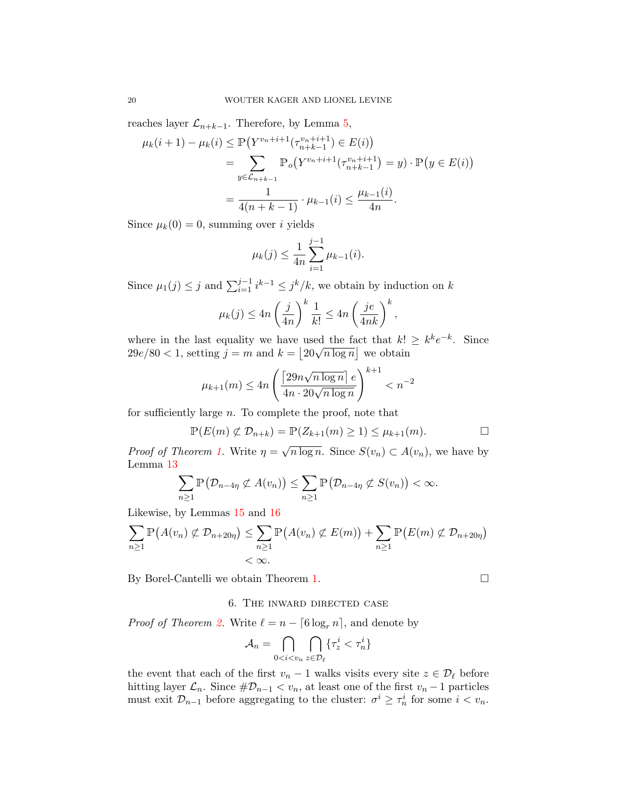reaches layer  $\mathcal{L}_{n+k-1}$ . Therefore, by Lemma [5,](#page-7-0)

$$
\mu_k(i+1) - \mu_k(i) \le \mathbb{P}\left(Y^{v_n+i+1}(\tau_{n+k-1}^{v_n+i+1}) \in E(i)\right)
$$
  
= 
$$
\sum_{y \in \mathcal{L}_{n+k-1}} \mathbb{P}_o\left(Y^{v_n+i+1}(\tau_{n+k-1}^{v_n+i+1}) = y\right) \cdot \mathbb{P}\left(y \in E(i)\right)
$$
  
= 
$$
\frac{1}{4(n+k-1)} \cdot \mu_{k-1}(i) \le \frac{\mu_{k-1}(i)}{4n}.
$$

Since  $\mu_k(0) = 0$ , summing over i yields

$$
\mu_k(j) \le \frac{1}{4n} \sum_{i=1}^{j-1} \mu_{k-1}(i).
$$

Since  $\mu_1(j) \leq j$  and  $\sum_{i=1}^{j-1} i^{k-1} \leq j^k/k$ , we obtain by induction on k

$$
\mu_k(j) \le 4n \left(\frac{j}{4n}\right)^k \frac{1}{k!} \le 4n \left(\frac{je}{4nk}\right)^k,
$$

where in the last equality we have used the fact that  $k! \geq k^k e^{-k}$ . Since where in the last equality we have used the lact that  $\kappa$ :<br>  $29e/80 < 1$ , setting  $j = m$  and  $k = |20\sqrt{n \log n}|$  we obtain

$$
\mu_{k+1}(m) \le 4n \left( \frac{\left[ 29n \sqrt{n \log n} \right] e}{4n \cdot 20 \sqrt{n \log n}} \right)^{k+1} < n^{-2}
$$

for sufficiently large n. To complete the proof, note that

$$
\mathbb{P}(E(m) \not\subset \mathcal{D}_{n+k}) = \mathbb{P}(Z_{k+1}(m) \ge 1) \le \mu_{k+1}(m). \square
$$

*Proof of Theorem [1.](#page-2-0)* Write  $\eta =$  $\overline{n \log n}$ . Since  $S(v_n) \subset A(v_n)$ , we have by Lemma [13](#page-13-0)

$$
\sum_{n\geq 1}\mathbb{P}\big(\mathcal{D}_{n-4\eta}\not\subset A(v_n)\big)\leq \sum_{n\geq 1}\mathbb{P}\big(\mathcal{D}_{n-4\eta}\not\subset S(v_n)\big)<\infty.
$$

Likewise, by Lemmas [15](#page-17-0) and [16](#page-18-0)

$$
\sum_{n\geq 1} \mathbb{P}\left(A(v_n) \not\subset \mathcal{D}_{n+20\eta}\right) \leq \sum_{n\geq 1} \mathbb{P}\left(A(v_n) \not\subset E(m)\right) + \sum_{n\geq 1} \mathbb{P}\left(E(m) \not\subset \mathcal{D}_{n+20\eta}\right) < \infty.
$$

<span id="page-19-0"></span>By Borel-Cantelli we obtain Theorem [1.](#page-2-0)

## 6. The inward directed case

*Proof of Theorem [2.](#page-4-1)* Write  $\ell = n - \lceil 6 \log_n n \rceil$ , and denote by

$$
\mathcal{A}_n = \bigcap_{0 < i < v_n} \bigcap_{z \in \mathcal{D}_\ell} \{\tau_z^i < \tau_n^i\}
$$

the event that each of the first  $v_n - 1$  walks visits every site  $z \in \mathcal{D}_\ell$  before hitting layer  $\mathcal{L}_n$ . Since  $\#\mathcal{D}_{n-1} < v_n$ , at least one of the first  $v_n - 1$  particles must exit  $\mathcal{D}_{n-1}$  before aggregating to the cluster:  $\sigma^i \geq \tau_n^i$  for some  $i < v_n$ .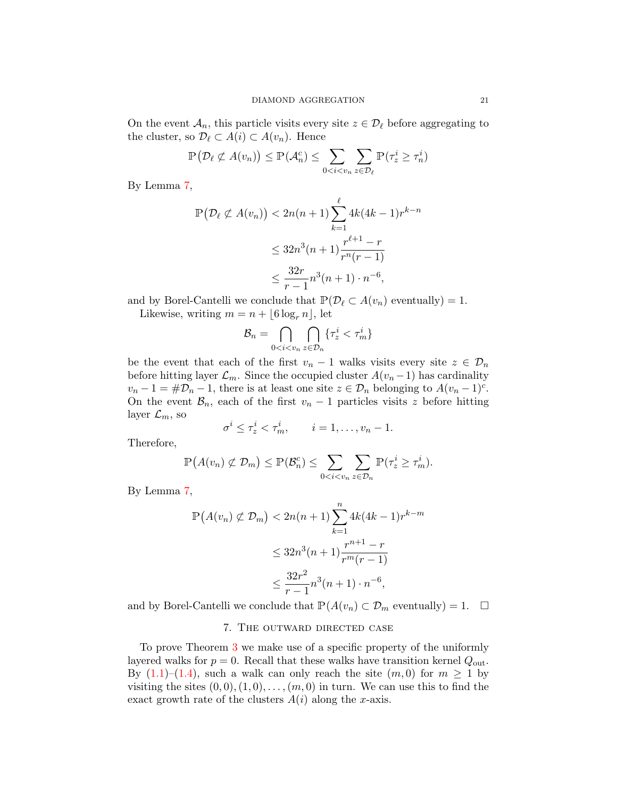On the event  $\mathcal{A}_n$ , this particle visits every site  $z \in \mathcal{D}_\ell$  before aggregating to the cluster, so  $\mathcal{D}_{\ell} \subset A(i) \subset A(v_n)$ . Hence

$$
\mathbb{P}\left(\mathcal{D}_{\ell} \not\subset A(v_n)\right) \leq \mathbb{P}(\mathcal{A}_n^c) \leq \sum_{0 < i < v_n} \sum_{z \in \mathcal{D}_{\ell}} \mathbb{P}(\tau_z^i \geq \tau_n^i)
$$

By Lemma [7,](#page-8-1)

$$
\mathbb{P}\left(\mathcal{D}_{\ell} \not\subset A(v_n)\right) < 2n(n+1) \sum_{k=1}^{\ell} 4k(4k-1)r^{k-n}
$$
\n
$$
\leq 32n^3(n+1) \frac{r^{\ell+1} - r}{r^n(r-1)}
$$
\n
$$
\leq \frac{32r}{r-1} n^3(n+1) \cdot n^{-6},
$$

and by Borel-Cantelli we conclude that  $\mathbb{P}(\mathcal{D}_\ell \subset A(v_n))$  eventually) = 1.

Likewise, writing  $m = n + \lfloor 6 \log_r n \rfloor$ , let

$$
\mathcal{B}_n = \bigcap_{0 < i < v_n} \bigcap_{z \in \mathcal{D}_n} \{ \tau_z^i < \tau_m^i \}
$$

be the event that each of the first  $v_n - 1$  walks visits every site  $z \in \mathcal{D}_n$ before hitting layer  $\mathcal{L}_m$ . Since the occupied cluster  $A(v_n-1)$  has cardinality  $v_n - 1 = #\mathcal{D}_n - 1$ , there is at least one site  $z \in \mathcal{D}_n$  belonging to  $A(v_n - 1)^c$ . On the event  $\mathcal{B}_n$ , each of the first  $v_n - 1$  particles visits z before hitting layer  $\mathcal{L}_m$ , so

$$
\sigma^i \leq \tau^i_z < \tau^i_m, \qquad i = 1, \ldots, v_n - 1.
$$

Therefore,

$$
\mathbb{P}\big(A(v_n)\not\subset \mathcal{D}_m\big)\leq \mathbb{P}(\mathcal{B}_n^c)\leq \sum_{0
$$

By Lemma [7,](#page-8-1)

$$
\mathbb{P}\left(A(v_n) \not\subset \mathcal{D}_m\right) < 2n(n+1) \sum_{k=1}^n 4k(4k-1)r^{k-m}
$$
\n
$$
\leq 32n^3(n+1) \frac{r^{n+1} - r}{r^m(r-1)}
$$
\n
$$
\leq \frac{32r^2}{r-1} n^3(n+1) \cdot n^{-6},
$$

<span id="page-20-0"></span>and by Borel-Cantelli we conclude that  $\mathbb{P}(A(v_n) \subset \mathcal{D}_m$  eventually) = 1.  $\Box$ 

## 7. The outward directed case

To prove Theorem [3](#page-5-1) we make use of a specific property of the uniformly layered walks for  $p = 0$ . Recall that these walks have transition kernel  $Q_{\text{out}}$ . By  $(1.1)$ – $(1.4)$ , such a walk can only reach the site  $(m, 0)$  for  $m \geq 1$  by visiting the sites  $(0, 0), (1, 0), \ldots, (m, 0)$  in turn. We can use this to find the exact growth rate of the clusters  $A(i)$  along the x-axis.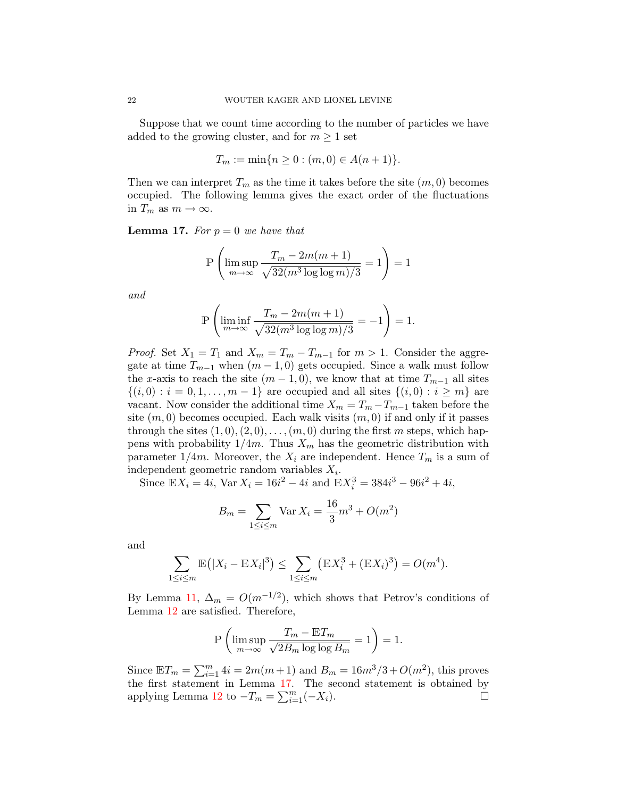Suppose that we count time according to the number of particles we have added to the growing cluster, and for  $m \geq 1$  set

$$
T_m := \min\{n \ge 0 : (m, 0) \in A(n+1)\}.
$$

Then we can interpret  $T_m$  as the time it takes before the site  $(m, 0)$  becomes occupied. The following lemma gives the exact order of the fluctuations in  $T_m$  as  $m \to \infty$ .

<span id="page-21-0"></span>**Lemma 17.** For  $p = 0$  we have that

$$
\mathbb{P}\left(\limsup_{m\to\infty}\frac{T_m-2m(m+1)}{\sqrt{32(m^3\log\log m)/3}}=1\right)=1
$$

and

$$
\mathbb{P}\left(\liminf_{m\to\infty}\frac{T_m-2m(m+1)}{\sqrt{32(m^3\log\log m)/3}}=-1\right)=1.
$$

*Proof.* Set  $X_1 = T_1$  and  $X_m = T_m - T_{m-1}$  for  $m > 1$ . Consider the aggregate at time  $T_{m-1}$  when  $(m-1,0)$  gets occupied. Since a walk must follow the x-axis to reach the site  $(m-1,0)$ , we know that at time  $T_{m-1}$  all sites  $\{(i, 0): i = 0, 1, \ldots, m-1\}$  are occupied and all sites  $\{(i, 0): i \geq m\}$  are vacant. Now consider the additional time  $X_m = T_m - T_{m-1}$  taken before the site  $(m, 0)$  becomes occupied. Each walk visits  $(m, 0)$  if and only if it passes through the sites  $(1, 0), (2, 0), \ldots, (m, 0)$  during the first m steps, which happens with probability  $1/4m$ . Thus  $X_m$  has the geometric distribution with parameter  $1/4m$ . Moreover, the  $X_i$  are independent. Hence  $T_m$  is a sum of independent geometric random variables  $X_i$ .

Since  $\mathbb{E}X_i = 4i$ ,  $\text{Var }X_i = 16i^2 - 4i$  and  $\mathbb{E}X_i^3 = 384i^3 - 96i^2 + 4i$ ,

$$
B_m = \sum_{1 \le i \le m} \text{Var}\, X_i = \frac{16}{3}m^3 + O(m^2)
$$

and

$$
\sum_{1 \le i \le m} \mathbb{E}(|X_i - \mathbb{E}X_i|^3) \le \sum_{1 \le i \le m} (\mathbb{E}X_i^3 + (\mathbb{E}X_i)^3) = O(m^4).
$$

By Lemma [11,](#page-11-5)  $\Delta_m = O(m^{-1/2})$ , which shows that Petrov's conditions of Lemma [12](#page-12-2) are satisfied. Therefore,

$$
\mathbb{P}\left(\limsup_{m\to\infty}\frac{T_m-\mathbb{E} T_m}{\sqrt{2B_m\log\log B_m}}=1\right)=1.
$$

Since  $\mathbb{E}T_m = \sum_{i=1}^m 4i = 2m(m+1)$  and  $B_m = 16m^3/3 + O(m^2)$ , this proves the first statement in Lemma [17.](#page-21-0) The second statement is obtained by applying Lemma [12](#page-12-2) to  $-T_m = \sum_{i=1}^m (-X_i)$ .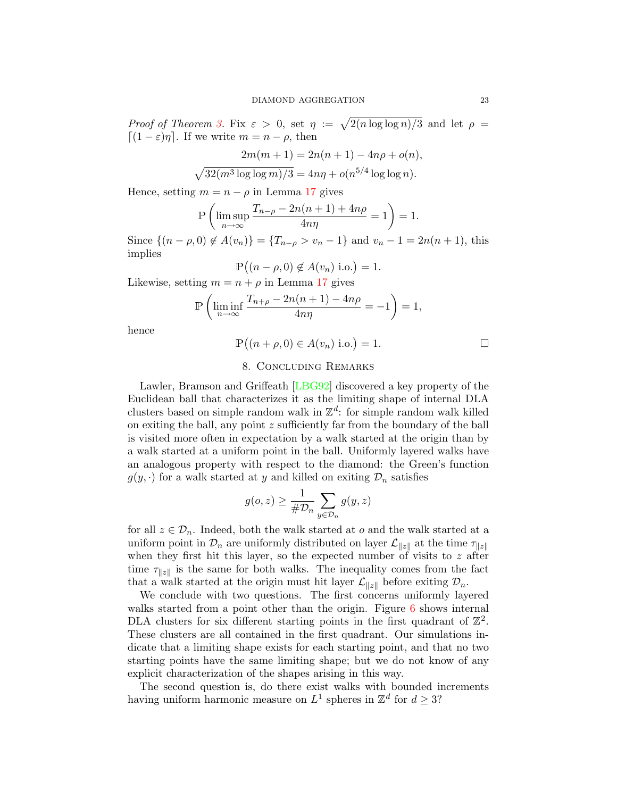Proof of Theorem [3.](#page-5-1) Fix  $\varepsilon > 0$ , set  $\eta := \sqrt{2(n \log \log n)/3}$  and let  $\rho =$  $[(1 - \varepsilon)\eta]$ . If we write  $m = n - \rho$ , then

$$
2m(m+1) = 2n(n+1) - 4n\rho + o(n),
$$
  

$$
\sqrt{32(m^3 \log \log m)/3} = 4n\eta + o(n^{5/4} \log \log n).
$$

Hence, setting  $m = n - \rho$  in Lemma [17](#page-21-0) gives

$$
\mathbb{P}\left(\limsup_{n\to\infty}\frac{T_{n-\rho}-2n(n+1)+4n\rho}{4n\eta}=1\right)=1.
$$

Since  $\{(n - \rho, 0) \notin A(v_n)\} = \{T_{n-\rho} > v_n - 1\}$  and  $v_n - 1 = 2n(n + 1)$ , this implies

$$
\mathbb{P}((n-\rho,0) \notin A(v_n) \text{ i.o.}) = 1.
$$

Likewise, setting  $m = n + \rho$  in Lemma [17](#page-21-0) gives

$$
\mathbb{P}\left(\liminf_{n\to\infty}\frac{T_{n+\rho}-2n(n+1)-4n\rho}{4n\eta}=-1\right)=1,
$$

hence

$$
\mathbb{P}((n+\rho,0) \in A(v_n) \text{ i.o.}) = 1. \square
$$

## 8. Concluding Remarks

Lawler, Bramson and Griffeath [\[LBG92\]](#page-24-0) discovered a key property of the Euclidean ball that characterizes it as the limiting shape of internal DLA clusters based on simple random walk in  $\mathbb{Z}^d$ : for simple random walk killed on exiting the ball, any point z sufficiently far from the boundary of the ball is visited more often in expectation by a walk started at the origin than by a walk started at a uniform point in the ball. Uniformly layered walks have an analogous property with respect to the diamond: the Green's function  $g(y, \cdot)$  for a walk started at y and killed on exiting  $\mathcal{D}_n$  satisfies

$$
g(o,z) \geq \frac{1}{\# \mathcal{D}_n} \sum_{y \in \mathcal{D}_n} g(y,z)
$$

for all  $z \in \mathcal{D}_n$ . Indeed, both the walk started at  $o$  and the walk started at a uniform point in  $\mathcal{D}_n$  are uniformly distributed on layer  $\mathcal{L}_{\|z\|}$  at the time  $\tau_{\|z\|}$ when they first hit this layer, so the expected number of visits to  $z$  after time  $\tau_{\parallel z \parallel}$  is the same for both walks. The inequality comes from the fact that a walk started at the origin must hit layer  $\mathcal{L}_{\|z\|}$  before exiting  $\mathcal{D}_n$ .

We conclude with two questions. The first concerns uniformly layered walks started from a point other than the origin. Figure [6](#page-23-8) shows internal DLA clusters for six different starting points in the first quadrant of  $\mathbb{Z}^2$ . These clusters are all contained in the first quadrant. Our simulations indicate that a limiting shape exists for each starting point, and that no two starting points have the same limiting shape; but we do not know of any explicit characterization of the shapes arising in this way.

The second question is, do there exist walks with bounded increments having uniform harmonic measure on  $L^1$  spheres in  $\mathbb{Z}^d$  for  $d \geq 3$ ?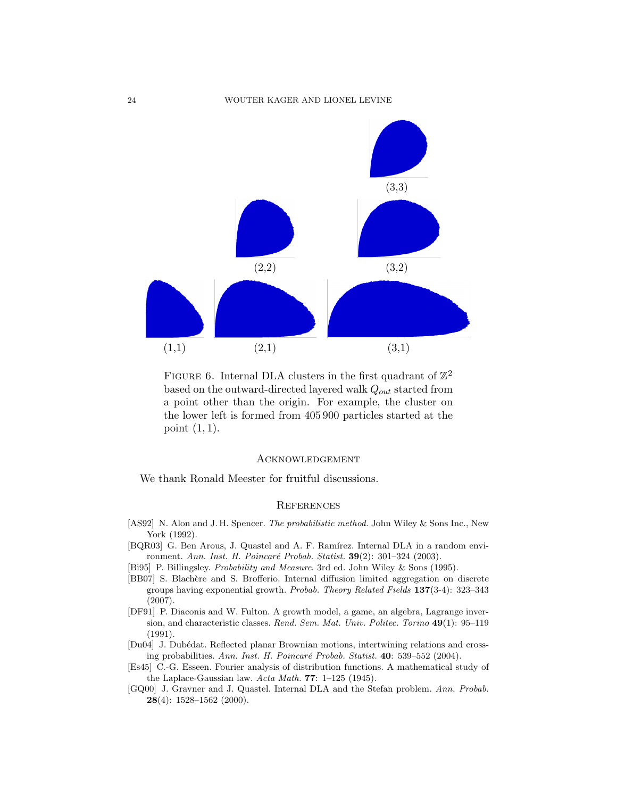#### 24 WOUTER KAGER AND LIONEL LEVINE



<span id="page-23-8"></span>FIGURE 6. Internal DLA clusters in the first quadrant of  $\mathbb{Z}^2$ based on the outward-directed layered walk  $Q_{out}$  started from a point other than the origin. For example, the cluster on the lower left is formed from 405 900 particles started at the point  $(1, 1)$ .

### Acknowledgement

We thank Ronald Meester for fruitful discussions.

#### **REFERENCES**

- <span id="page-23-6"></span>[AS92] N. Alon and J. H. Spencer. The probabilistic method. John Wiley & Sons Inc., New York (1992).
- <span id="page-23-2"></span>[BQR03] G. Ben Arous, J. Quastel and A. F. Ramírez. Internal DLA in a random environment. Ann. Inst. H. Poincaré Probab. Statist. **39**(2): 301–324 (2003).
- <span id="page-23-5"></span>[Bi95] P. Billingsley. Probability and Measure. 3rd ed. John Wiley & Sons (1995).
- <span id="page-23-3"></span>[BB07] S. Blachère and S. Brofferio. Internal diffusion limited aggregation on discrete groups having exponential growth. Probab. Theory Related Fields 137(3-4): 323–343 (2007).
- <span id="page-23-0"></span>[DF91] P. Diaconis and W. Fulton. A growth model, a game, an algebra, Lagrange inversion, and characteristic classes. Rend. Sem. Mat. Univ. Politec. Torino 49(1): 95–119 (1991).
- <span id="page-23-4"></span>[Du04] J. Dubédat. Reflected planar Brownian motions, intertwining relations and crossing probabilities. Ann. Inst. H. Poincaré Probab. Statist. 40: 539-552 (2004).
- <span id="page-23-7"></span>[Es45] C.-G. Esseen. Fourier analysis of distribution functions. A mathematical study of the Laplace-Gaussian law. Acta Math. 77: 1–125 (1945).
- <span id="page-23-1"></span>[GQ00] J. Gravner and J. Quastel. Internal DLA and the Stefan problem. Ann. Probab. 28(4): 1528–1562 (2000).